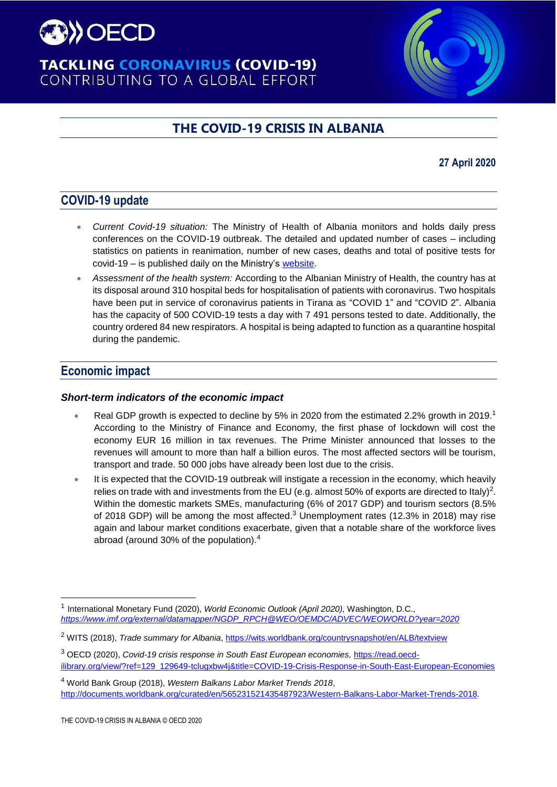

# **TACKLING CORONAVIRUS (COVID-19)** CONTRIBUTING TO A GLOBAL EFFORT

# **THE COVID-19 CRISIS IN ALBANIA**

# **27 April 2020**

# **COVID-19 update**

- *Current Covid-19 situation:* The Ministry of Health of Albania monitors and holds daily press conferences on the COVID-19 outbreak. The detailed and updated number of cases – including statistics on patients in reanimation, number of new cases, deaths and total of positive tests for covid-19 – is published daily on the Ministry's [website.](https://shendetesia.gov.al/koronavirusi-i-ri-dhe-masat-ndaj-tij/)
- *Assessment of the health system:* According to the Albanian Ministry of Health, the country has at its disposal around 310 hospital beds for hospitalisation of patients with coronavirus. Two hospitals have been put in service of coronavirus patients in Tirana as "COVID 1" and "COVID 2". Albania has the capacity of 500 COVID-19 tests a day with 7 491 persons tested to date. Additionally, the country ordered 84 new respirators. A hospital is being adapted to function as a quarantine hospital during the pandemic.

# **Economic impact**

 $\overline{a}$ 

#### *Short-term indicators of the economic impact*

- Real GDP growth is expected to decline by 5% in 2020 from the estimated 2.2% growth in 2019.<sup>1</sup> According to the Ministry of Finance and Economy, the first phase of lockdown will cost the economy EUR 16 million in tax revenues. The Prime Minister announced that losses to the revenues will amount to more than half a billion euros. The most affected sectors will be tourism, transport and trade. 50 000 jobs have already been lost due to the crisis.
- It is expected that the COVID-19 outbreak will instigate a recession in the economy, which heavily relies on trade with and investments from the EU (e.g. almost 50% of exports are directed to Italy)<sup>2</sup>. Within the domestic markets SMEs, manufacturing (6% of 2017 GDP) and tourism sectors (8.5% of 2018 GDP) will be among the most affected.<sup>3</sup> Unemployment rates (12.3% in 2018) may rise again and labour market conditions exacerbate, given that a notable share of the workforce lives abroad (around 30% of the population).<sup>4</sup>

<sup>1</sup> International Monetary Fund (2020), *World Economic Outlook (April 2020),* Washington, D.C., *[https://www.imf.org/external/datamapper/NGDP\\_RPCH@WEO/OEMDC/ADVEC/WEOWORLD?year=2020](https://www.imf.org/external/datamapper/NGDP_RPCH@WEO/OEMDC/ADVEC/WEOWORLD?year=2020)*

<sup>2</sup> WITS (2018), *Trade summary for Albania*,<https://wits.worldbank.org/countrysnapshot/en/ALB/textview>

<sup>3</sup> OECD (2020), *Covid-19 crisis response in South East European economies,* [https://read.oecd](https://read.oecd-ilibrary.org/view/?ref=129_129649-tclugxbw4j&title=COVID-19-Crisis-Response-in-South-East-European-Economies)[ilibrary.org/view/?ref=129\\_129649-tclugxbw4j&title=COVID-19-Crisis-Response-in-South-East-European-Economies](https://read.oecd-ilibrary.org/view/?ref=129_129649-tclugxbw4j&title=COVID-19-Crisis-Response-in-South-East-European-Economies)

<sup>4</sup> World Bank Group (2018), *Western Balkans Labor Market Trends 2018*, http://documents.worldbank.org/curated/en/565231521435487923/Western-Balkans-Labor-Market-Trends-2018.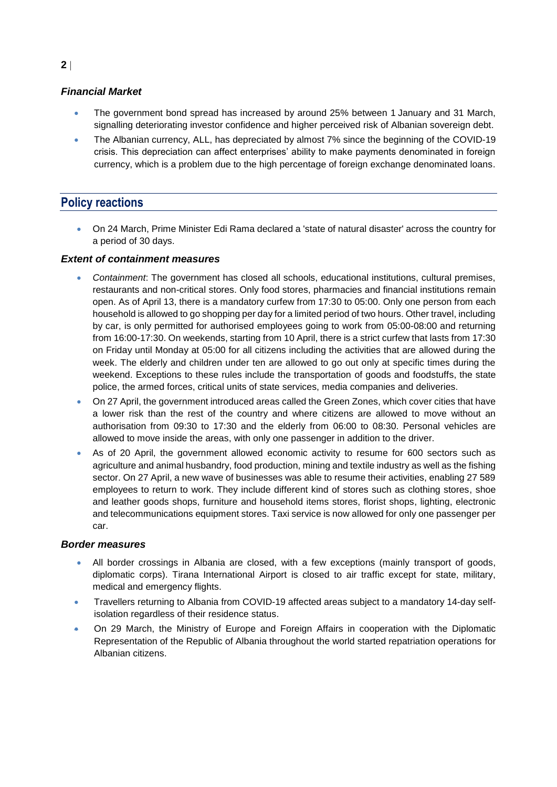#### *Financial Market*

- The government bond spread has increased by around 25% between 1 January and 31 March, signalling deteriorating investor confidence and higher perceived risk of Albanian sovereign debt.
- The Albanian currency, ALL, has depreciated by almost 7% since the beginning of the COVID-19 crisis. This depreciation can affect enterprises' ability to make payments denominated in foreign currency, which is a problem due to the high percentage of foreign exchange denominated loans.

# **Policy reactions**

 On 24 March, Prime Minister Edi Rama declared a 'state of natural disaster' across the country for a period of 30 days.

#### *Extent of containment measures*

- *Containment*: The government has closed all schools, educational institutions, cultural premises, restaurants and non-critical stores. Only food stores, pharmacies and financial institutions remain open. As of April 13, there is a mandatory curfew from 17:30 to 05:00. Only one person from each household is allowed to go shopping per day for a limited period of two hours. Other travel, including by car, is only permitted for authorised employees going to work from 05:00-08:00 and returning from 16:00-17:30. On weekends, starting from 10 April, there is a strict curfew that lasts from 17:30 on Friday until Monday at 05:00 for all citizens including the activities that are allowed during the week. The elderly and children under ten are allowed to go out only at specific times during the weekend. Exceptions to these rules include the transportation of goods and foodstuffs, the state police, the armed forces, critical units of state services, media companies and deliveries.
- On 27 April, the government introduced areas called the Green Zones, which cover cities that have a lower risk than the rest of the country and where citizens are allowed to move without an authorisation from 09:30 to 17:30 and the elderly from 06:00 to 08:30. Personal vehicles are allowed to move inside the areas, with only one passenger in addition to the driver.
- As of 20 April, the government allowed economic activity to resume for 600 sectors such as agriculture and animal husbandry, food production, mining and textile industry as well as the fishing sector. On 27 April, a new wave of businesses was able to resume their activities, enabling 27 589 employees to return to work. They include different kind of stores such as clothing stores, shoe and leather goods shops, furniture and household items stores, florist shops, lighting, electronic and telecommunications equipment stores. Taxi service is now allowed for only one passenger per car.

#### *Border measures*

- All border crossings in Albania are closed, with a few exceptions (mainly transport of goods, diplomatic corps). Tirana International Airport is closed to air traffic except for state, military, medical and emergency flights.
- Travellers returning to Albania from COVID-19 affected areas subject to a mandatory 14-day selfisolation regardless of their residence status.
- On 29 March, the Ministry of Europe and Foreign Affairs in cooperation with the Diplomatic Representation of the Republic of Albania throughout the world started repatriation operations for Albanian citizens.

#### **2**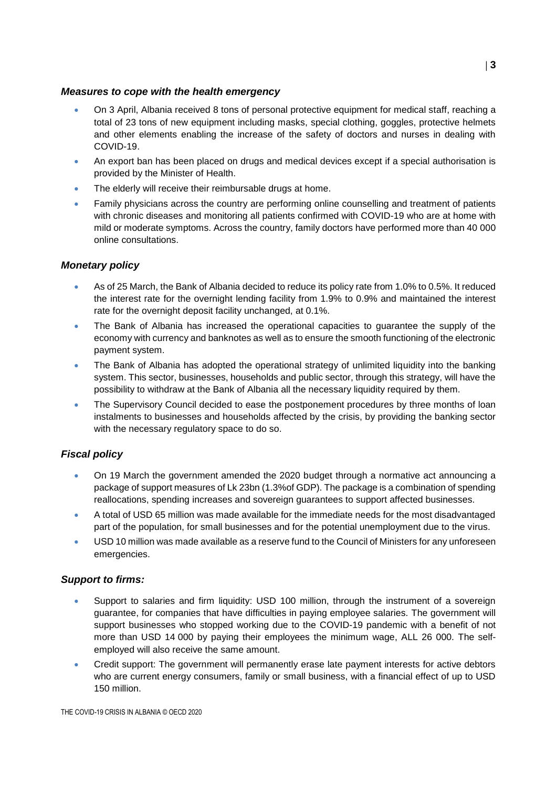#### *Measures to cope with the health emergency*

- On 3 April, Albania received 8 tons of personal protective equipment for medical staff, reaching a total of 23 tons of new equipment including masks, special clothing, goggles, protective helmets and other elements enabling the increase of the safety of doctors and nurses in dealing with COVID-19.
- An export ban has been placed on drugs and medical devices except if a special authorisation is provided by the Minister of Health.
- The elderly will receive their reimbursable drugs at home.
- Family physicians across the country are performing online counselling and treatment of patients with chronic diseases and monitoring all patients confirmed with COVID-19 who are at home with mild or moderate symptoms. Across the country, family doctors have performed more than 40 000 online consultations.

## *Monetary policy*

- As of 25 March, the Bank of Albania decided to reduce its policy rate from 1.0% to 0.5%. It reduced the interest rate for the overnight lending facility from 1.9% to 0.9% and maintained the interest rate for the overnight deposit facility unchanged, at 0.1%.
- The Bank of Albania has increased the operational capacities to guarantee the supply of the economy with currency and banknotes as well as to ensure the smooth functioning of the electronic payment system.
- The Bank of Albania has adopted the operational strategy of unlimited liquidity into the banking system. This sector, businesses, households and public sector, through this strategy, will have the possibility to withdraw at the Bank of Albania all the necessary liquidity required by them.
- The Supervisory Council decided to ease the postponement procedures by three months of loan instalments to businesses and households affected by the crisis, by providing the banking sector with the necessary regulatory space to do so.

## *Fiscal policy*

- On 19 March the government amended the 2020 budget through a [normative act](https://financa.gov.al/wp-content/uploads/2020/03/Akti-Normativ.pdf) announcing a package of support measures of Lk 23bn (1.3%of GDP). The package is a combination of spending reallocations, spending increases and sovereign guarantees to support affected businesses.
- A total of USD 65 million was made available for the immediate needs for the most disadvantaged part of the population, for small businesses and for the potential unemployment due to the virus.
- USD 10 million was made available as a reserve fund to the Council of Ministers for any unforeseen emergencies.

#### *Support to firms:*

- Support to salaries and firm liquidity: USD 100 million, through the instrument of a sovereign guarantee, for companies that have difficulties in paying employee salaries. The government will support businesses who stopped working due to the COVID-19 pandemic with a benefit of not more than USD 14 000 by paying their employees the minimum wage, ALL 26 000. The selfemployed will also receive the same amount.
- Credit support: The government will permanently erase late payment interests for active debtors who are current energy consumers, family or small business, with a financial effect of up to USD 150 million.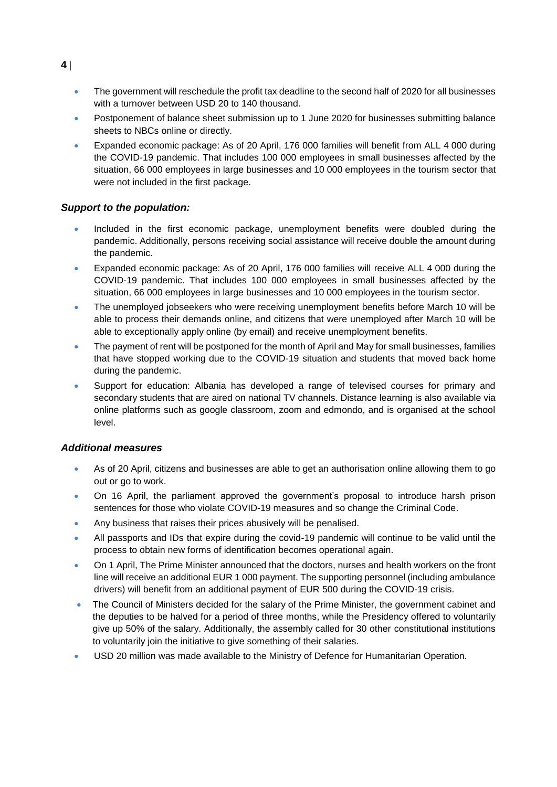- The government will reschedule the profit tax deadline to the second half of 2020 for all businesses with a turnover between USD 20 to 140 thousand.
- Postponement of balance sheet submission up to 1 June 2020 for businesses submitting balance sheets to NBCs online or directly.
- Expanded economic package: As of 20 April, 176 000 families will benefit from ALL 4 000 during the COVID-19 pandemic. That includes 100 000 employees in small businesses affected by the situation, 66 000 employees in large businesses and 10 000 employees in the tourism sector that were not included in the first package.

#### *Support to the population:*

- Included in the first economic package, unemployment benefits were doubled during the pandemic. Additionally, persons receiving social assistance will receive double the amount during the pandemic.
- Expanded economic package: As of 20 April, 176 000 families will receive ALL 4 000 during the COVID-19 pandemic. That includes 100 000 employees in small businesses affected by the situation, 66 000 employees in large businesses and 10 000 employees in the tourism sector.
- The unemployed jobseekers who were receiving unemployment benefits before March 10 will be able to process their demands online, and citizens that were unemployed after March 10 will be able to exceptionally apply online (by email) and receive unemployment benefits.
- The payment of rent will be postponed for the month of April and May for small businesses, families that have stopped working due to the COVID-19 situation and students that moved back home during the pandemic.
- Support for education: Albania has developed a range of televised courses for primary and secondary students that are aired on national TV channels. Distance learning is also available via online platforms such as google classroom, zoom and edmondo, and is organised at the school level.

#### *Additional measures*

- As of 20 April, citizens and businesses are able to get an authorisation online allowing them to go out or go to work.
- On 16 April, the parliament approved the government's proposal to introduce harsh prison sentences for those who violate COVID-19 measures and so change the Criminal Code.
- Any business that raises their prices abusively will be penalised.
- All passports and IDs that expire during the covid-19 pandemic will continue to be valid until the process to obtain new forms of identification becomes operational again.
- On 1 April, The Prime Minister announced that the doctors, nurses and health workers on the front line will receive an additional EUR 1 000 payment. The supporting personnel (including ambulance drivers) will benefit from an additional payment of EUR 500 during the COVID-19 crisis.
- The Council of Ministers decided for the salary of the Prime Minister, the government cabinet and the deputies to be halved for a period of three months, while the Presidency offered to voluntarily give up 50% of the salary. Additionally, the assembly called for 30 other constitutional institutions to voluntarily join the initiative to give something of their salaries.
- USD 20 million was made available to the Ministry of Defence for Humanitarian Operation.

**4**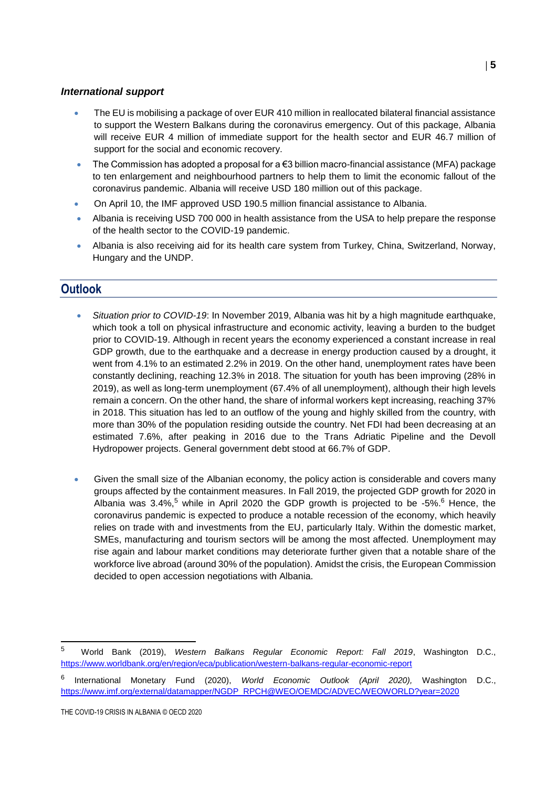#### *International support*

- The EU is mobilising a package of over EUR 410 million in reallocated bilateral financial assistance to support the Western Balkans during the coronavirus emergency. Out of this package, Albania will receive EUR 4 million of immediate support for the health sector and EUR 46.7 million of support for the social and economic recovery.
- The Commission has adopted a proposal for a €3 billion macro-financial assistance (MFA) package to ten enlargement and neighbourhood partners to help them to limit the economic fallout of the coronavirus pandemic. Albania will receive USD 180 million out of this package.
- On April 10, the IMF approved USD 190.5 million financial assistance to Albania.
- Albania is receiving USD 700 000 in health assistance from the USA to help prepare the response of the health sector to the COVID-19 pandemic.
- Albania is also receiving aid for its health care system from Turkey, China, Switzerland, Norway, Hungary and the UNDP.

# **Outlook**

- *Situation prior to COVID-19*: In November 2019, Albania was hit by a high magnitude earthquake, which took a toll on physical infrastructure and economic activity, leaving a burden to the budget prior to COVID-19. Although in recent years the economy experienced a constant increase in real GDP growth, due to the earthquake and a decrease in energy production caused by a drought, it went from 4.1% to an estimated 2.2% in 2019. On the other hand, unemployment rates have been constantly declining, reaching 12.3% in 2018. The situation for youth has been improving (28% in 2019), as well as long-term unemployment (67.4% of all unemployment), although their high levels remain a concern. On the other hand, the share of informal workers kept increasing, reaching 37% in 2018. This situation has led to an outflow of the young and highly skilled from the country, with more than 30% of the population residing outside the country. Net FDI had been decreasing at an estimated 7.6%, after peaking in 2016 due to the Trans Adriatic Pipeline and the Devoll Hydropower projects. General government debt stood at 66.7% of GDP.
- Given the small size of the Albanian economy, the policy action is considerable and covers many groups affected by the containment measures. In Fall 2019, the projected GDP growth for 2020 in Albania was  $3.4\%$ , while in April 2020 the GDP growth is projected to be -5%. <sup>6</sup> Hence, the coronavirus pandemic is expected to produce a notable recession of the economy, which heavily relies on trade with and investments from the EU, particularly Italy. Within the domestic market, SMEs, manufacturing and tourism sectors will be among the most affected. Unemployment may rise again and labour market conditions may deteriorate further given that a notable share of the workforce live abroad (around 30% of the population). Amidst the crisis, the European Commission decided to open accession negotiations with Albania.

THE COVID-19 CRISIS IN ALBANIA © OECD 2020

<sup>5</sup> World Bank (2019), *Western Balkans Regular Economic Report: Fall 2019*, Washington D.C., <https://www.worldbank.org/en/region/eca/publication/western-balkans-regular-economic-report>

<sup>6</sup> International Monetary Fund (2020), *World Economic Outlook (April 2020),* Washington D.C., [https://www.imf.org/external/datamapper/NGDP\\_RPCH@WEO/OEMDC/ADVEC/WEOWORLD?year=2020](https://www.imf.org/external/datamapper/NGDP_RPCH@WEO/OEMDC/ADVEC/WEOWORLD?year=2020)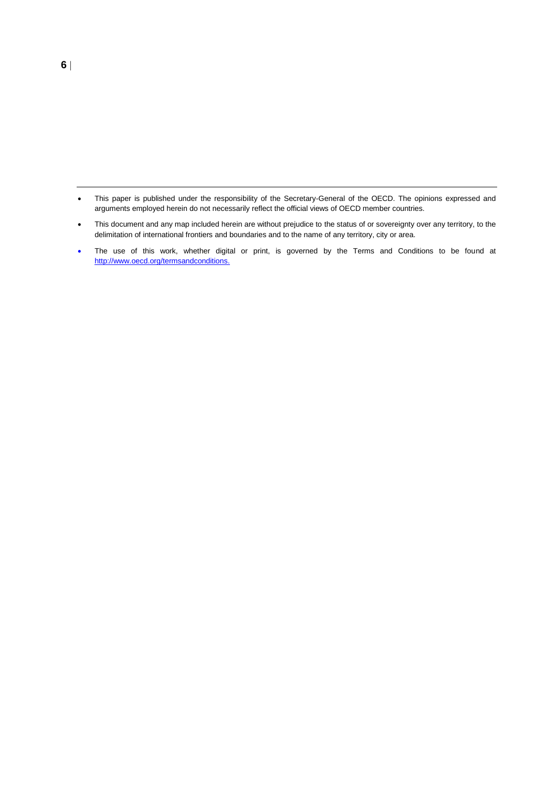- This paper is published under the responsibility of the Secretary-General of the OECD. The opinions expressed and arguments employed herein do not necessarily reflect the official views of OECD member countries.
- This document and any map included herein are without prejudice to the status of or sovereignty over any territory, to the delimitation of international frontiers and boundaries and to the name of any territory, city or area.
- The use of this work, whether digital or print, is governed by the Terms and Conditions to be found at [http://www.oecd.org/termsandconditions.](http://www.oecd.org/termsandconditions)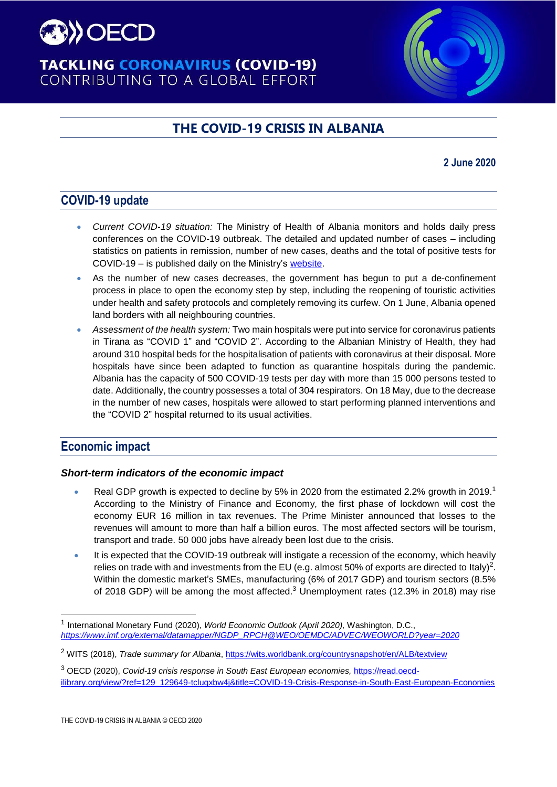

# **TACKLING CORONAVIRUS (COVID-19)** CONTRIBUTING TO A GLOBAL EFFORT

# **THE COVID-19 CRISIS IN ALBANIA**

### **2 June 2020**

# **COVID-19 update**

- *Current COVID-19 situation:* The Ministry of Health of Albania monitors and holds daily press conferences on the COVID-19 outbreak. The detailed and updated number of cases – including statistics on patients in remission, number of new cases, deaths and the total of positive tests for COVID-19 – is published daily on the Ministry's [website.](https://shendetesia.gov.al/koronavirusi-i-ri-dhe-masat-ndaj-tij/)
- As the number of new cases decreases, the government has begun to put a de-confinement process in place to open the economy step by step, including the reopening of touristic activities under health and safety protocols and completely removing its curfew. On 1 June, Albania opened land borders with all neighbouring countries.
- *Assessment of the health system:* Two main hospitals were put into service for coronavirus patients in Tirana as "COVID 1" and "COVID 2". According to the Albanian Ministry of Health, they had around 310 hospital beds for the hospitalisation of patients with coronavirus at their disposal. More hospitals have since been adapted to function as quarantine hospitals during the pandemic. Albania has the capacity of 500 COVID-19 tests per day with more than 15 000 persons tested to date. Additionally, the country possesses a total of 304 respirators. On 18 May, due to the decrease in the number of new cases, hospitals were allowed to start performing planned interventions and the "COVID 2" hospital returned to its usual activities.

# **Economic impact**

#### *Short-term indicators of the economic impact*

- Real GDP growth is expected to decline by 5% in 2020 from the estimated 2.2% growth in 2019.<sup>1</sup> According to the Ministry of Finance and Economy, the first phase of lockdown will cost the economy EUR 16 million in tax revenues. The Prime Minister announced that losses to the revenues will amount to more than half a billion euros. The most affected sectors will be tourism, transport and trade. 50 000 jobs have already been lost due to the crisis.
- It is expected that the COVID-19 outbreak will instigate a recession of the economy, which heavily relies on trade with and investments from the EU (e.g. almost 50% of exports are directed to Italy)<sup>2</sup>. Within the domestic market's SMEs, manufacturing (6% of 2017 GDP) and tourism sectors (8.5% of 2018 GDP) will be among the most affected.<sup>3</sup> Unemployment rates (12.3% in 2018) may rise

<sup>&</sup>lt;sup>1</sup> International Monetary Fund (2020), *World Economic Outlook (April 2020),* Washington, D.C., *[https://www.imf.org/external/datamapper/NGDP\\_RPCH@WEO/OEMDC/ADVEC/WEOWORLD?year=2020](https://www.imf.org/external/datamapper/NGDP_RPCH@WEO/OEMDC/ADVEC/WEOWORLD?year=2020)*

<sup>2</sup> WITS (2018), *Trade summary for Albania*,<https://wits.worldbank.org/countrysnapshot/en/ALB/textview>

<sup>3</sup> OECD (2020), *Covid-19 crisis response in South East European economies,* [https://read.oecd](https://read.oecd-ilibrary.org/view/?ref=129_129649-tclugxbw4j&title=COVID-19-Crisis-Response-in-South-East-European-Economies)[ilibrary.org/view/?ref=129\\_129649-tclugxbw4j&title=COVID-19-Crisis-Response-in-South-East-European-Economies](https://read.oecd-ilibrary.org/view/?ref=129_129649-tclugxbw4j&title=COVID-19-Crisis-Response-in-South-East-European-Economies)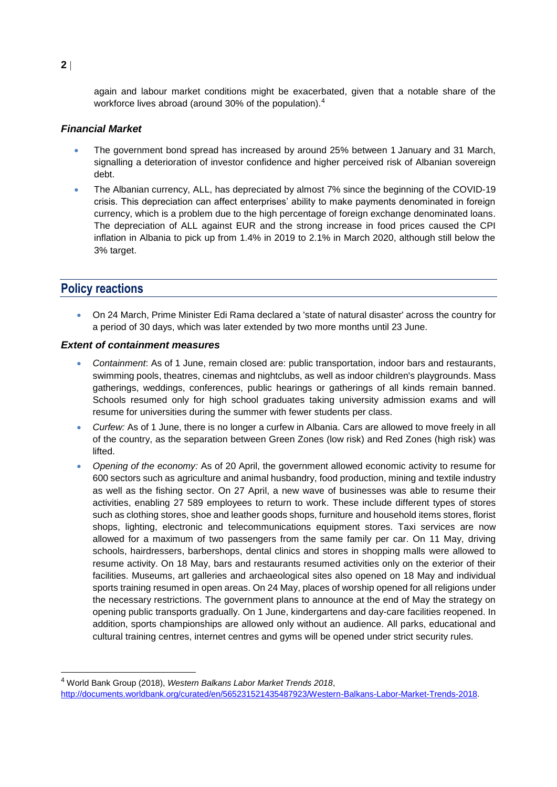again and labour market conditions might be exacerbated, given that a notable share of the workforce lives abroad (around 30% of the population).<sup>4</sup>

#### *Financial Market*

- The government bond spread has increased by around 25% between 1 January and 31 March, signalling a deterioration of investor confidence and higher perceived risk of Albanian sovereign debt.
- The Albanian currency, ALL, has depreciated by almost 7% since the beginning of the COVID-19 crisis. This depreciation can affect enterprises' ability to make payments denominated in foreign currency, which is a problem due to the high percentage of foreign exchange denominated loans. The depreciation of ALL against EUR and the strong increase in food prices caused the CPI inflation in Albania to pick up from 1.4% in 2019 to 2.1% in March 2020, although still below the 3% target.

# **Policy reactions**

 On 24 March, Prime Minister Edi Rama declared a 'state of natural disaster' across the country for a period of 30 days, which was later extended by two more months until 23 June.

#### *Extent of containment measures*

- *Containment*: As of 1 June, remain closed are: public transportation, indoor bars and restaurants, swimming pools, theatres, cinemas and nightclubs, as well as indoor children's playgrounds. Mass gatherings, weddings, conferences, public hearings or gatherings of all kinds remain banned. Schools resumed only for high school graduates taking university admission exams and will resume for universities during the summer with fewer students per class.
- *Curfew:* As of 1 June, there is no longer a curfew in Albania. Cars are allowed to move freely in all of the country, as the separation between Green Zones (low risk) and Red Zones (high risk) was lifted.
- *Opening of the economy:* As of 20 April, the government allowed economic activity to resume for 600 sectors such as agriculture and animal husbandry, food production, mining and textile industry as well as the fishing sector. On 27 April, a new wave of businesses was able to resume their activities, enabling 27 589 employees to return to work. These include different types of stores such as clothing stores, shoe and leather goods shops, furniture and household items stores, florist shops, lighting, electronic and telecommunications equipment stores. Taxi services are now allowed for a maximum of two passengers from the same family per car. On 11 May, driving schools, hairdressers, barbershops, dental clinics and stores in shopping malls were allowed to resume activity. On 18 May, bars and restaurants resumed activities only on the exterior of their facilities. Museums, art galleries and archaeological sites also opened on 18 May and individual sports training resumed in open areas. On 24 May, places of worship opened for all religions under the necessary restrictions. The government plans to announce at the end of May the strategy on opening public transports gradually. On 1 June, kindergartens and day-care facilities reopened. In addition, sports championships are allowed only without an audience. All parks, educational and cultural training centres, internet centres and gyms will be opened under strict security rules.

**2**

<sup>4</sup> World Bank Group (2018), *Western Balkans Labor Market Trends 2018*, http://documents.worldbank.org/curated/en/565231521435487923/Western-Balkans-Labor-Market-Trends-2018.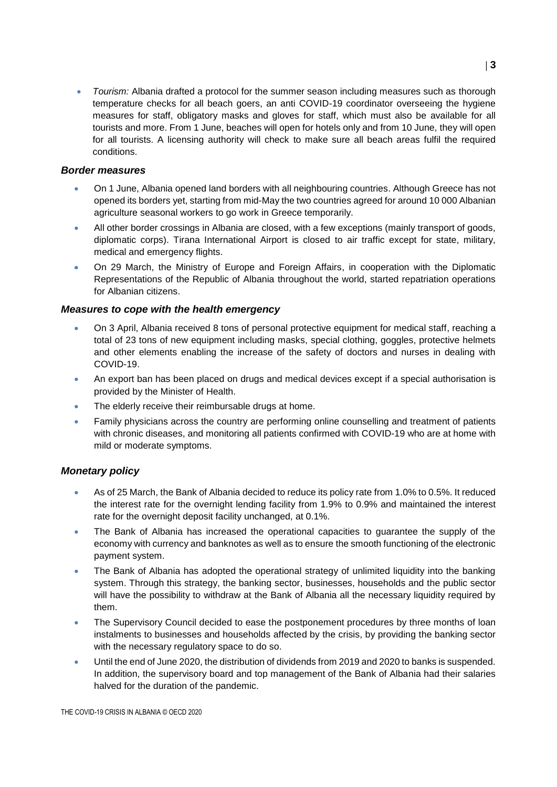*Tourism:* Albania drafted a protocol for the summer season including measures such as thorough temperature checks for all beach goers, an anti COVID-19 coordinator overseeing the hygiene measures for staff, obligatory masks and gloves for staff, which must also be available for all tourists and more. From 1 June, beaches will open for hotels only and from 10 June, they will open for all tourists. A licensing authority will check to make sure all beach areas fulfil the required conditions.

#### *Border measures*

- On 1 June, Albania opened land borders with all neighbouring countries. Although Greece has not opened its borders yet, starting from mid-May the two countries agreed for around 10 000 Albanian agriculture seasonal workers to go work in Greece temporarily.
- All other border crossings in Albania are closed, with a few exceptions (mainly transport of goods, diplomatic corps). Tirana International Airport is closed to air traffic except for state, military, medical and emergency flights.
- On 29 March, the Ministry of Europe and Foreign Affairs, in cooperation with the Diplomatic Representations of the Republic of Albania throughout the world, started repatriation operations for Albanian citizens.

#### *Measures to cope with the health emergency*

- On 3 April, Albania received 8 tons of personal protective equipment for medical staff, reaching a total of 23 tons of new equipment including masks, special clothing, goggles, protective helmets and other elements enabling the increase of the safety of doctors and nurses in dealing with COVID-19.
- An export ban has been placed on drugs and medical devices except if a special authorisation is provided by the Minister of Health.
- The elderly receive their reimbursable drugs at home.
- Family physicians across the country are performing online counselling and treatment of patients with chronic diseases, and monitoring all patients confirmed with COVID-19 who are at home with mild or moderate symptoms.

#### *Monetary policy*

- As of 25 March, the Bank of Albania decided to reduce its policy rate from 1.0% to 0.5%. It reduced the interest rate for the overnight lending facility from 1.9% to 0.9% and maintained the interest rate for the overnight deposit facility unchanged, at 0.1%.
- The Bank of Albania has increased the operational capacities to guarantee the supply of the economy with currency and banknotes as well as to ensure the smooth functioning of the electronic payment system.
- The Bank of Albania has adopted the operational strategy of unlimited liquidity into the banking system. Through this strategy, the banking sector, businesses, households and the public sector will have the possibility to withdraw at the Bank of Albania all the necessary liquidity required by them.
- The Supervisory Council decided to ease the postponement procedures by three months of loan instalments to businesses and households affected by the crisis, by providing the banking sector with the necessary regulatory space to do so.
- Until the end of June 2020, the distribution of dividends from 2019 and 2020 to banks is suspended. In addition, the supervisory board and top management of the Bank of Albania had their salaries halved for the duration of the pandemic.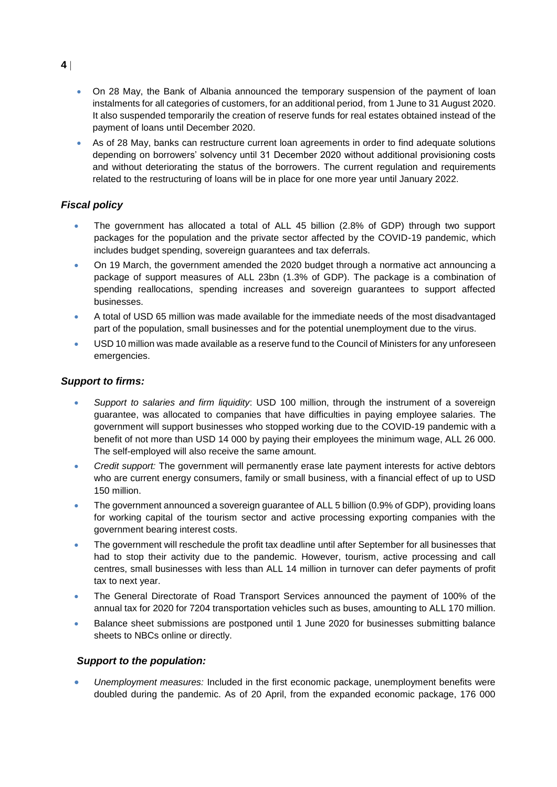- On 28 May, the Bank of Albania announced the temporary suspension of the payment of loan instalments for all categories of customers, for an additional period, from 1 June to 31 August 2020. It also suspended temporarily the creation of reserve funds for real estates obtained instead of the payment of loans until December 2020.
- As of 28 May, banks can restructure current loan agreements in order to find adequate solutions depending on borrowers' solvency until 31 December 2020 without additional provisioning costs and without deteriorating the status of the borrowers. The current regulation and requirements related to the restructuring of loans will be in place for one more year until January 2022.

### *Fiscal policy*

- The government has allocated a total of ALL 45 billion (2.8% of GDP) through two support packages for the population and the private sector affected by the COVID-19 pandemic, which includes budget spending, sovereign guarantees and tax deferrals.
- On 19 March, the government amended the 2020 budget through a [normative act](https://financa.gov.al/wp-content/uploads/2020/03/Akti-Normativ.pdf) announcing a package of support measures of ALL 23bn (1.3% of GDP). The package is a combination of spending reallocations, spending increases and sovereign guarantees to support affected businesses.
- A total of USD 65 million was made available for the immediate needs of the most disadvantaged part of the population, small businesses and for the potential unemployment due to the virus.
- USD 10 million was made available as a reserve fund to the Council of Ministers for any unforeseen emergencies.

#### *Support to firms:*

- *Support to salaries and firm liquidity*: USD 100 million, through the instrument of a sovereign guarantee, was allocated to companies that have difficulties in paying employee salaries. The government will support businesses who stopped working due to the COVID-19 pandemic with a benefit of not more than USD 14 000 by paying their employees the minimum wage, ALL 26 000. The self-employed will also receive the same amount.
- *Credit support:* The government will permanently erase late payment interests for active debtors who are current energy consumers, family or small business, with a financial effect of up to USD 150 million.
- The government announced a sovereign guarantee of ALL 5 billion (0.9% of GDP), providing loans for working capital of the tourism sector and active processing exporting companies with the government bearing interest costs.
- The government will reschedule the profit tax deadline until after September for all businesses that had to stop their activity due to the pandemic. However, tourism, active processing and call centres, small businesses with less than ALL 14 million in turnover can defer payments of profit tax to next year.
- The General Directorate of Road Transport Services announced the payment of 100% of the annual tax for 2020 for 7204 transportation vehicles such as buses, amounting to ALL 170 million.
- Balance sheet submissions are postponed until 1 June 2020 for businesses submitting balance sheets to NBCs online or directly.

#### *Support to the population:*

 *Unemployment measures:* Included in the first economic package, unemployment benefits were doubled during the pandemic. As of 20 April, from the expanded economic package, 176 000

**4**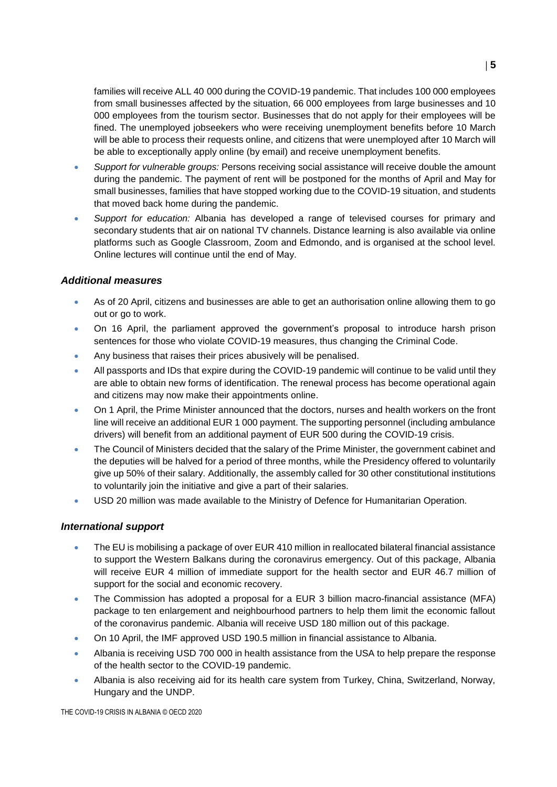families will receive ALL 40 000 during the COVID-19 pandemic. That includes 100 000 employees from small businesses affected by the situation, 66 000 employees from large businesses and 10 000 employees from the tourism sector. Businesses that do not apply for their employees will be fined. The unemployed jobseekers who were receiving unemployment benefits before 10 March will be able to process their requests online, and citizens that were unemployed after 10 March will be able to exceptionally apply online (by email) and receive unemployment benefits.

- *Support for vulnerable groups:* Persons receiving social assistance will receive double the amount during the pandemic. The payment of rent will be postponed for the months of April and May for small businesses, families that have stopped working due to the COVID-19 situation, and students that moved back home during the pandemic.
- *Support for education:* Albania has developed a range of televised courses for primary and secondary students that air on national TV channels. Distance learning is also available via online platforms such as Google Classroom, Zoom and Edmondo, and is organised at the school level. Online lectures will continue until the end of May.

#### *Additional measures*

- As of 20 April, citizens and businesses are able to get an authorisation online allowing them to go out or go to work.
- On 16 April, the parliament approved the government's proposal to introduce harsh prison sentences for those who violate COVID-19 measures, thus changing the Criminal Code.
- Any business that raises their prices abusively will be penalised.
- All passports and IDs that expire during the COVID-19 pandemic will continue to be valid until they are able to obtain new forms of identification. The renewal process has become operational again and citizens may now make their appointments online.
- On 1 April, the Prime Minister announced that the doctors, nurses and health workers on the front line will receive an additional EUR 1 000 payment. The supporting personnel (including ambulance drivers) will benefit from an additional payment of EUR 500 during the COVID-19 crisis.
- The Council of Ministers decided that the salary of the Prime Minister, the government cabinet and the deputies will be halved for a period of three months, while the Presidency offered to voluntarily give up 50% of their salary. Additionally, the assembly called for 30 other constitutional institutions to voluntarily join the initiative and give a part of their salaries.
- USD 20 million was made available to the Ministry of Defence for Humanitarian Operation.

#### *International support*

- The EU is mobilising a package of over EUR 410 million in reallocated bilateral financial assistance to support the Western Balkans during the coronavirus emergency. Out of this package, Albania will receive EUR 4 million of immediate support for the health sector and EUR 46.7 million of support for the social and economic recovery.
- The Commission has adopted a proposal for a EUR 3 billion macro-financial assistance (MFA) package to ten enlargement and neighbourhood partners to help them limit the economic fallout of the coronavirus pandemic. Albania will receive USD 180 million out of this package.
- On 10 April, the IMF approved USD 190.5 million in financial assistance to Albania.
- Albania is receiving USD 700 000 in health assistance from the USA to help prepare the response of the health sector to the COVID-19 pandemic.
- Albania is also receiving aid for its health care system from Turkey, China, Switzerland, Norway, Hungary and the UNDP.

THE COVID-19 CRISIS IN ALBANIA © OECD 2020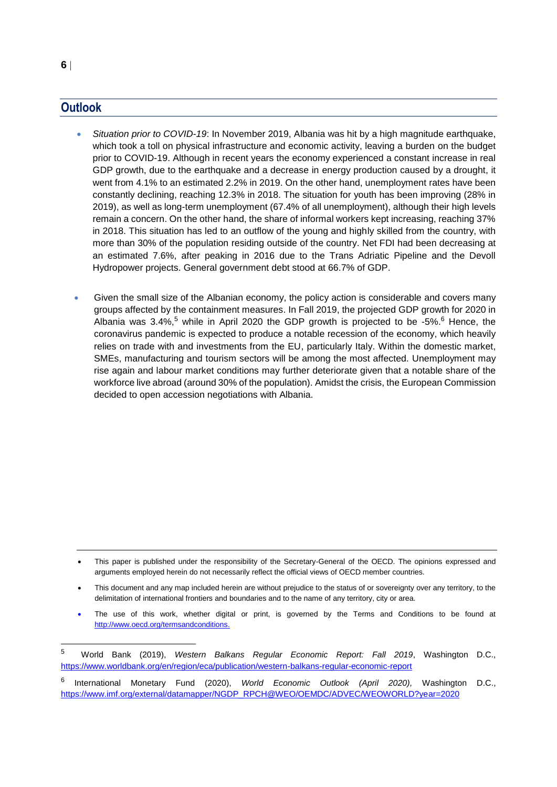## **Outlook**

- *Situation prior to COVID-19*: In November 2019, Albania was hit by a high magnitude earthquake, which took a toll on physical infrastructure and economic activity, leaving a burden on the budget prior to COVID-19. Although in recent years the economy experienced a constant increase in real GDP growth, due to the earthquake and a decrease in energy production caused by a drought, it went from 4.1% to an estimated 2.2% in 2019. On the other hand, unemployment rates have been constantly declining, reaching 12.3% in 2018. The situation for youth has been improving (28% in 2019), as well as long-term unemployment (67.4% of all unemployment), although their high levels remain a concern. On the other hand, the share of informal workers kept increasing, reaching 37% in 2018. This situation has led to an outflow of the young and highly skilled from the country, with more than 30% of the population residing outside of the country. Net FDI had been decreasing at an estimated 7.6%, after peaking in 2016 due to the Trans Adriatic Pipeline and the Devoll Hydropower projects. General government debt stood at 66.7% of GDP.
- Given the small size of the Albanian economy, the policy action is considerable and covers many groups affected by the containment measures. In Fall 2019, the projected GDP growth for 2020 in Albania was  $3.4\%$ , while in April 2020 the GDP growth is projected to be -5%. <sup>6</sup> Hence, the coronavirus pandemic is expected to produce a notable recession of the economy, which heavily relies on trade with and investments from the EU, particularly Italy. Within the domestic market, SMEs, manufacturing and tourism sectors will be among the most affected. Unemployment may rise again and labour market conditions may further deteriorate given that a notable share of the workforce live abroad (around 30% of the population). Amidst the crisis, the European Commission decided to open accession negotiations with Albania.

- This document and any map included herein are without prejudice to the status of or sovereignty over any territory, to the delimitation of international frontiers and boundaries and to the name of any territory, city or area.
- The use of this work, whether digital or print, is governed by the Terms and Conditions to be found at [http://www.oecd.org/termsandconditions.](http://www.oecd.org/termsandconditions)

This paper is published under the responsibility of the Secretary-General of the OECD. The opinions expressed and arguments employed herein do not necessarily reflect the official views of OECD member countries.

 $\overline{5}$ <sup>5</sup> World Bank (2019), *Western Balkans Regular Economic Report: Fall 2019*, Washington D.C., <https://www.worldbank.org/en/region/eca/publication/western-balkans-regular-economic-report>

<sup>6</sup> International Monetary Fund (2020), *World Economic Outlook (April 2020),* Washington D.C., [https://www.imf.org/external/datamapper/NGDP\\_RPCH@WEO/OEMDC/ADVEC/WEOWORLD?year=2020](https://www.imf.org/external/datamapper/NGDP_RPCH@WEO/OEMDC/ADVEC/WEOWORLD?year=2020)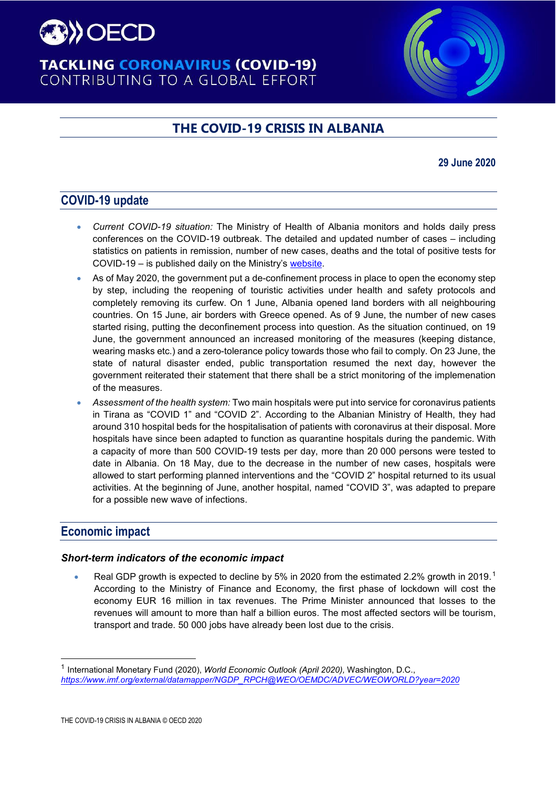

# **TACKLING CORONAVIRUS (COVID-19)** CONTRIBUTING TO A GLOBAL EFFORT

# **THE COVID-19 CRISIS IN ALBANIA**

# **29 June 2020**

# **COVID-19 update**

- *Current COVID-19 situation:* The Ministry of Health of Albania monitors and holds daily press conferences on the COVID-19 outbreak. The detailed and updated number of cases – including statistics on patients in remission, number of new cases, deaths and the total of positive tests for COVID-19 – is published daily on the Ministry's [website.](https://shendetesia.gov.al/koronavirusi-i-ri-dhe-masat-ndaj-tij/)
- As of May 2020, the government put a de-confinement process in place to open the economy step by step, including the reopening of touristic activities under health and safety protocols and completely removing its curfew. On 1 June, Albania opened land borders with all neighbouring countries. On 15 June, air borders with Greece opened. As of 9 June, the number of new cases started rising, putting the deconfinement process into question. As the situation continued, on 19 June, the government announced an increased monitoring of the measures (keeping distance, wearing masks etc.) and a zero-tolerance policy towards those who fail to comply. On 23 June, the state of natural disaster ended, public transportation resumed the next day, however the government reiterated their statement that there shall be a strict monitoring of the implemenation of the measures.
- *Assessment of the health system:* Two main hospitals were put into service for coronavirus patients in Tirana as "COVID 1" and "COVID 2". According to the Albanian Ministry of Health, they had around 310 hospital beds for the hospitalisation of patients with coronavirus at their disposal. More hospitals have since been adapted to function as quarantine hospitals during the pandemic. With a capacity of more than 500 COVID-19 tests per day, more than 20 000 persons were tested to date in Albania. On 18 May, due to the decrease in the number of new cases, hospitals were allowed to start performing planned interventions and the "COVID 2" hospital returned to its usual activities. At the beginning of June, another hospital, named "COVID 3", was adapted to prepare for a possible new wave of infections.

# **Economic impact**

#### *Short-term indicators of the economic impact*

• Real GDP growth is expected to decline by 5% in 2020 from the estimated 2.2% growth in 20[1](#page-12-0)9.<sup>1</sup> According to the Ministry of Finance and Economy, the first phase of lockdown will cost the economy EUR 16 million in tax revenues. The Prime Minister announced that losses to the revenues will amount to more than half a billion euros. The most affected sectors will be tourism, transport and trade. 50 000 jobs have already been lost due to the crisis.

<span id="page-12-0"></span> <sup>1</sup> International Monetary Fund (2020), *World Economic Outlook (April 2020),* Washington, D.C., *[https://www.imf.org/external/datamapper/NGDP\\_RPCH@WEO/OEMDC/ADVEC/WEOWORLD?year=2020](https://www.imf.org/external/datamapper/NGDP_RPCH@WEO/OEMDC/ADVEC/WEOWORLD?year=2020)*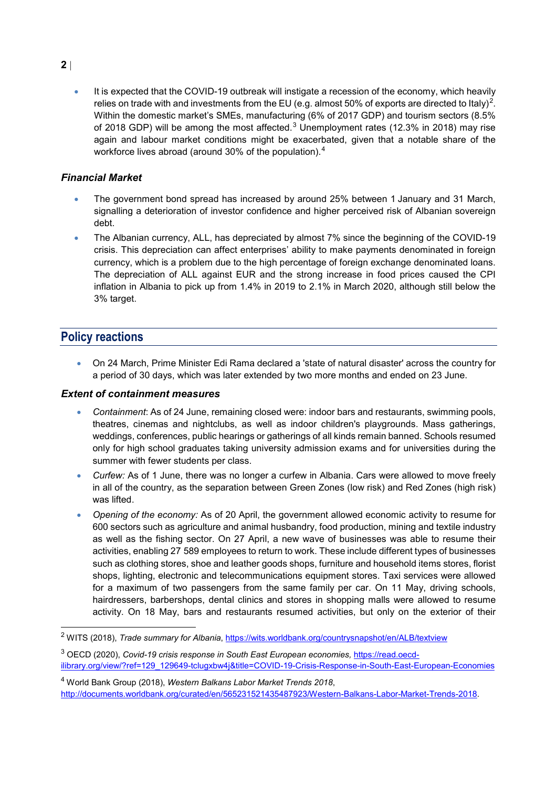• It is expected that the COVID-19 outbreak will instigate a recession of the economy, which heavily relies on trade with and investments from the EU (e.g. almost 50% of exports are directed to Italy)<sup>[2](#page-13-0)</sup>. Within the domestic market's SMEs, manufacturing (6% of 2017 GDP) and tourism sectors (8.5% of 2018 GDP) will be among the most affected.<sup>[3](#page-13-1)</sup> Unemployment rates (12.3% in 2018) may rise again and labour market conditions might be exacerbated, given that a notable share of the workforce lives abroad (around 30% of the population).<sup>[4](#page-13-2)</sup>

#### *Financial Market*

- The government bond spread has increased by around 25% between 1 January and 31 March, signalling a deterioration of investor confidence and higher perceived risk of Albanian sovereign debt.
- The Albanian currency, ALL, has depreciated by almost 7% since the beginning of the COVID-19 crisis. This depreciation can affect enterprises' ability to make payments denominated in foreign currency, which is a problem due to the high percentage of foreign exchange denominated loans. The depreciation of ALL against EUR and the strong increase in food prices caused the CPI inflation in Albania to pick up from 1.4% in 2019 to 2.1% in March 2020, although still below the 3% target.

# **Policy reactions**

• On 24 March, Prime Minister Edi Rama declared a 'state of natural disaster' across the country for a period of 30 days, which was later extended by two more months and ended on 23 June.

#### *Extent of containment measures*

- *Containment*: As of 24 June, remaining closed were: indoor bars and restaurants, swimming pools, theatres, cinemas and nightclubs, as well as indoor children's playgrounds. Mass gatherings, weddings, conferences, public hearings or gatherings of all kinds remain banned. Schools resumed only for high school graduates taking university admission exams and for universities during the summer with fewer students per class.
- *Curfew:* As of 1 June, there was no longer a curfew in Albania. Cars were allowed to move freely in all of the country, as the separation between Green Zones (low risk) and Red Zones (high risk) was lifted.
- *Opening of the economy:* As of 20 April, the government allowed economic activity to resume for 600 sectors such as agriculture and animal husbandry, food production, mining and textile industry as well as the fishing sector. On 27 April, a new wave of businesses was able to resume their activities, enabling 27 589 employees to return to work. These include different types of businesses such as clothing stores, shoe and leather goods shops, furniture and household items stores, florist shops, lighting, electronic and telecommunications equipment stores. Taxi services were allowed for a maximum of two passengers from the same family per car. On 11 May, driving schools, hairdressers, barbershops, dental clinics and stores in shopping malls were allowed to resume activity. On 18 May, bars and restaurants resumed activities, but only on the exterior of their

<span id="page-13-0"></span><sup>&</sup>lt;sup>2</sup> WITS (2018), *Trade summary for Albania*,<https://wits.worldbank.org/countrysnapshot/en/ALB/textview>

<span id="page-13-1"></span><sup>3</sup> OECD (2020), *Covid-19 crisis response in South East European economies,* [https://read.oecd](https://read.oecd-ilibrary.org/view/?ref=129_129649-tclugxbw4j&title=COVID-19-Crisis-Response-in-South-East-European-Economies)[ilibrary.org/view/?ref=129\\_129649-tclugxbw4j&title=COVID-19-Crisis-Response-in-South-East-European-Economies](https://read.oecd-ilibrary.org/view/?ref=129_129649-tclugxbw4j&title=COVID-19-Crisis-Response-in-South-East-European-Economies)

<span id="page-13-2"></span><sup>4</sup> World Bank Group (2018), *Western Balkans Labor Market Trends 2018*, http://documents.worldbank.org/curated/en/565231521435487923/Western-Balkans-Labor-Market-Trends-2018.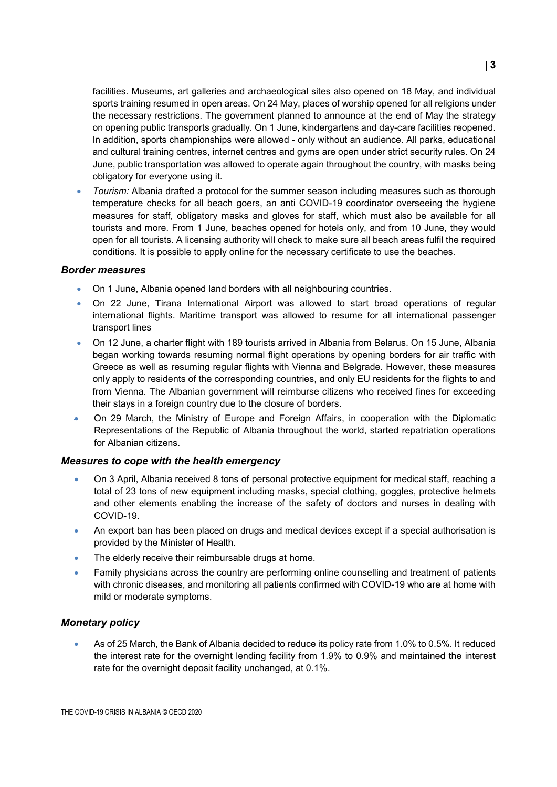facilities. Museums, art galleries and archaeological sites also opened on 18 May, and individual sports training resumed in open areas. On 24 May, places of worship opened for all religions under the necessary restrictions. The government planned to announce at the end of May the strategy on opening public transports gradually. On 1 June, kindergartens and day-care facilities reopened. In addition, sports championships were allowed - only without an audience. All parks, educational and cultural training centres, internet centres and gyms are open under strict security rules. On 24 June, public transportation was allowed to operate again throughout the country, with masks being obligatory for everyone using it.

• *Tourism:* Albania drafted a protocol for the summer season including measures such as thorough temperature checks for all beach goers, an anti COVID-19 coordinator overseeing the hygiene measures for staff, obligatory masks and gloves for staff, which must also be available for all tourists and more. From 1 June, beaches opened for hotels only, and from 10 June, they would open for all tourists. A licensing authority will check to make sure all beach areas fulfil the required conditions. It is possible to apply online for the necessary certificate to use the beaches.

#### *Border measures*

- On 1 June, Albania opened land borders with all neighbouring countries.
- On 22 June, Tirana International Airport was allowed to start broad operations of regular international flights. Maritime transport was allowed to resume for all international passenger transport lines
- On 12 June, a charter flight with 189 tourists arrived in Albania from Belarus. On 15 June, Albania began working towards resuming normal flight operations by opening borders for air traffic with Greece as well as resuming regular flights with Vienna and Belgrade. However, these measures only apply to residents of the corresponding countries, and only EU residents for the flights to and from Vienna. The Albanian government will reimburse citizens who received fines for exceeding their stays in a foreign country due to the closure of borders.
- On 29 March, the Ministry of Europe and Foreign Affairs, in cooperation with the Diplomatic Representations of the Republic of Albania throughout the world, started repatriation operations for Albanian citizens.

#### *Measures to cope with the health emergency*

- On 3 April, Albania received 8 tons of personal protective equipment for medical staff, reaching a total of 23 tons of new equipment including masks, special clothing, goggles, protective helmets and other elements enabling the increase of the safety of doctors and nurses in dealing with COVID-19.
- An export ban has been placed on drugs and medical devices except if a special authorisation is provided by the Minister of Health.
- The elderly receive their reimbursable drugs at home.
- Family physicians across the country are performing online counselling and treatment of patients with chronic diseases, and monitoring all patients confirmed with COVID-19 who are at home with mild or moderate symptoms.

#### *Monetary policy*

• As of 25 March, the Bank of Albania decided to reduce its policy rate from 1.0% to 0.5%. It reduced the interest rate for the overnight lending facility from 1.9% to 0.9% and maintained the interest rate for the overnight deposit facility unchanged, at 0.1%.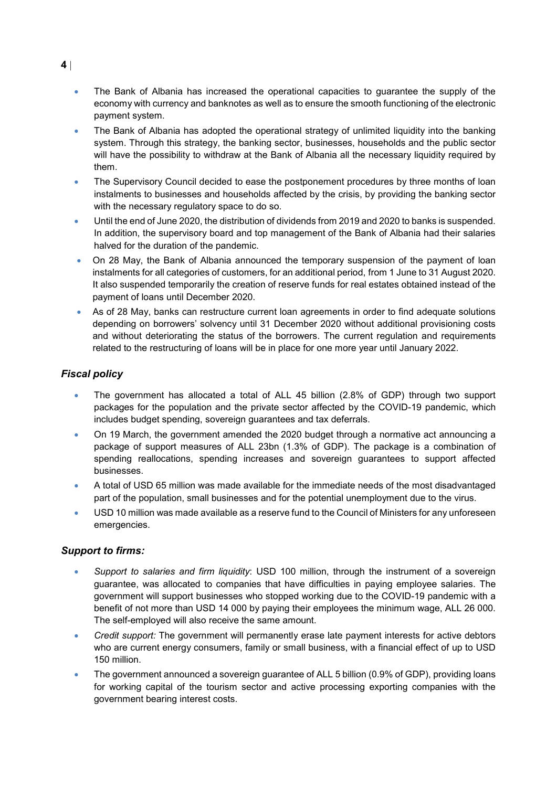- The Bank of Albania has increased the operational capacities to guarantee the supply of the economy with currency and banknotes as well as to ensure the smooth functioning of the electronic payment system.
- The Bank of Albania has adopted the operational strategy of unlimited liquidity into the banking system. Through this strategy, the banking sector, businesses, households and the public sector will have the possibility to withdraw at the Bank of Albania all the necessary liquidity required by them.
- The Supervisory Council decided to ease the postponement procedures by three months of loan instalments to businesses and households affected by the crisis, by providing the banking sector with the necessary regulatory space to do so.
- Until the end of June 2020, the distribution of dividends from 2019 and 2020 to banks is suspended. In addition, the supervisory board and top management of the Bank of Albania had their salaries halved for the duration of the pandemic.
- On 28 May, the Bank of Albania announced the temporary suspension of the payment of loan instalments for all categories of customers, for an additional period, from 1 June to 31 August 2020. It also suspended temporarily the creation of reserve funds for real estates obtained instead of the payment of loans until December 2020.
- As of 28 May, banks can restructure current loan agreements in order to find adequate solutions depending on borrowers' solvency until 31 December 2020 without additional provisioning costs and without deteriorating the status of the borrowers. The current regulation and requirements related to the restructuring of loans will be in place for one more year until January 2022.

## *Fiscal policy*

- The government has allocated a total of ALL 45 billion (2.8% of GDP) through two support packages for the population and the private sector affected by the COVID-19 pandemic, which includes budget spending, sovereign guarantees and tax deferrals.
- On 19 March, the government amended the 2020 budget through a [normative act](https://financa.gov.al/wp-content/uploads/2020/03/Akti-Normativ.pdf) announcing a package of support measures of ALL 23bn (1.3% of GDP). The package is a combination of spending reallocations, spending increases and sovereign guarantees to support affected businesses.
- A total of USD 65 million was made available for the immediate needs of the most disadvantaged part of the population, small businesses and for the potential unemployment due to the virus.
- USD 10 million was made available as a reserve fund to the Council of Ministers for any unforeseen emergencies.

#### *Support to firms:*

- *Support to salaries and firm liquidity*: USD 100 million, through the instrument of a sovereign guarantee, was allocated to companies that have difficulties in paying employee salaries. The government will support businesses who stopped working due to the COVID-19 pandemic with a benefit of not more than USD 14 000 by paying their employees the minimum wage, ALL 26 000. The self-employed will also receive the same amount.
- *Credit support:* The government will permanently erase late payment interests for active debtors who are current energy consumers, family or small business, with a financial effect of up to USD 150 million.
- The government announced a sovereign guarantee of ALL 5 billion (0.9% of GDP), providing loans for working capital of the tourism sector and active processing exporting companies with the government bearing interest costs.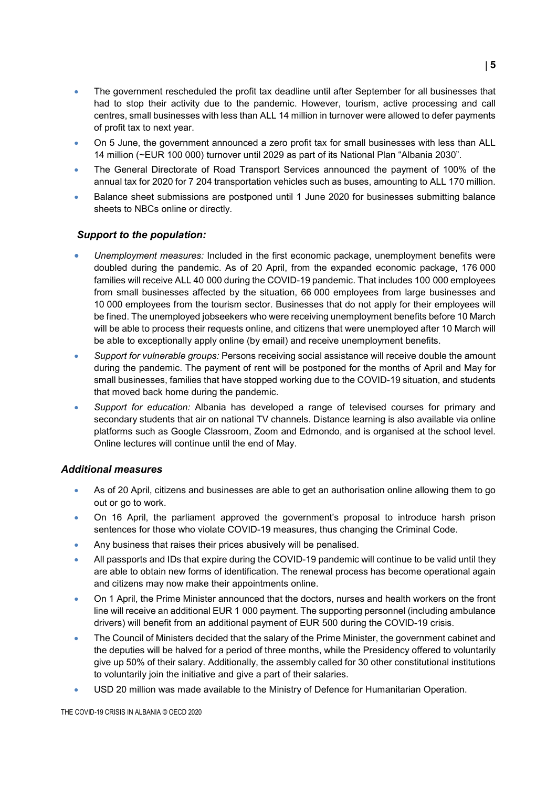- The government rescheduled the profit tax deadline until after September for all businesses that had to stop their activity due to the pandemic. However, tourism, active processing and call centres, small businesses with less than ALL 14 million in turnover were allowed to defer payments of profit tax to next year.
- On 5 June, the government announced a zero profit tax for small businesses with less than ALL 14 million (~EUR 100 000) turnover until 2029 as part of its National Plan "Albania 2030".
- The General Directorate of Road Transport Services announced the payment of 100% of the annual tax for 2020 for 7 204 transportation vehicles such as buses, amounting to ALL 170 million.
- Balance sheet submissions are postponed until 1 June 2020 for businesses submitting balance sheets to NBCs online or directly.

#### *Support to the population:*

- *Unemployment measures:* Included in the first economic package, unemployment benefits were doubled during the pandemic. As of 20 April, from the expanded economic package, 176 000 families will receive ALL 40 000 during the COVID-19 pandemic. That includes 100 000 employees from small businesses affected by the situation, 66 000 employees from large businesses and 10 000 employees from the tourism sector. Businesses that do not apply for their employees will be fined. The unemployed jobseekers who were receiving unemployment benefits before 10 March will be able to process their requests online, and citizens that were unemployed after 10 March will be able to exceptionally apply online (by email) and receive unemployment benefits.
- *Support for vulnerable groups:* Persons receiving social assistance will receive double the amount during the pandemic. The payment of rent will be postponed for the months of April and May for small businesses, families that have stopped working due to the COVID-19 situation, and students that moved back home during the pandemic.
- *Support for education:* Albania has developed a range of televised courses for primary and secondary students that air on national TV channels. Distance learning is also available via online platforms such as Google Classroom, Zoom and Edmondo, and is organised at the school level. Online lectures will continue until the end of May.

#### *Additional measures*

- As of 20 April, citizens and businesses are able to get an authorisation online allowing them to go out or go to work.
- On 16 April, the parliament approved the government's proposal to introduce harsh prison sentences for those who violate COVID-19 measures, thus changing the Criminal Code.
- Any business that raises their prices abusively will be penalised.
- All passports and IDs that expire during the COVID-19 pandemic will continue to be valid until they are able to obtain new forms of identification. The renewal process has become operational again and citizens may now make their appointments online.
- On 1 April, the Prime Minister announced that the doctors, nurses and health workers on the front line will receive an additional EUR 1 000 payment. The supporting personnel (including ambulance drivers) will benefit from an additional payment of EUR 500 during the COVID-19 crisis.
- The Council of Ministers decided that the salary of the Prime Minister, the government cabinet and the deputies will be halved for a period of three months, while the Presidency offered to voluntarily give up 50% of their salary. Additionally, the assembly called for 30 other constitutional institutions to voluntarily join the initiative and give a part of their salaries.
- USD 20 million was made available to the Ministry of Defence for Humanitarian Operation.

THE COVID-19 CRISIS IN ALBANIA © OECD 2020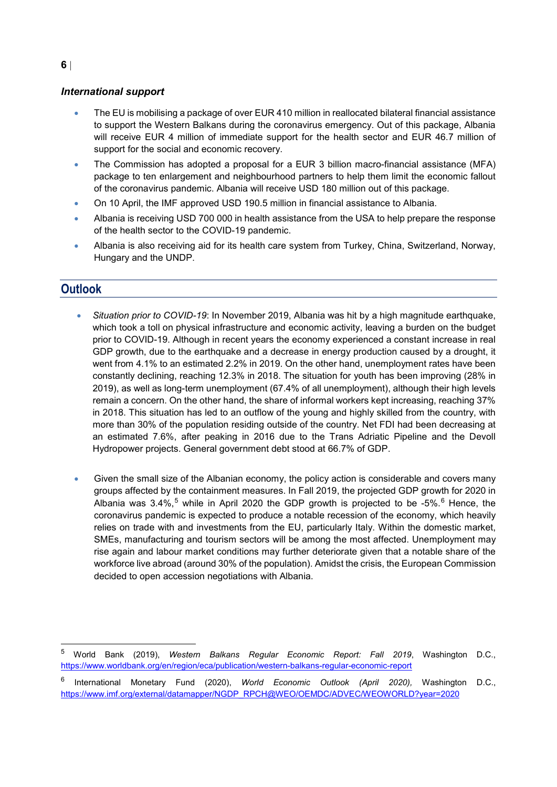#### *International support*

- The EU is mobilising a package of over EUR 410 million in reallocated bilateral financial assistance to support the Western Balkans during the coronavirus emergency. Out of this package, Albania will receive EUR 4 million of immediate support for the health sector and EUR 46.7 million of support for the social and economic recovery.
- The Commission has adopted a proposal for a EUR 3 billion macro-financial assistance (MFA) package to ten enlargement and neighbourhood partners to help them limit the economic fallout of the coronavirus pandemic. Albania will receive USD 180 million out of this package.
- On 10 April, the IMF approved USD 190.5 million in financial assistance to Albania.
- Albania is receiving USD 700 000 in health assistance from the USA to help prepare the response of the health sector to the COVID-19 pandemic.
- Albania is also receiving aid for its health care system from Turkey, China, Switzerland, Norway, Hungary and the UNDP.

# **Outlook**

- *Situation prior to COVID-19*: In November 2019, Albania was hit by a high magnitude earthquake, which took a toll on physical infrastructure and economic activity, leaving a burden on the budget prior to COVID-19. Although in recent years the economy experienced a constant increase in real GDP growth, due to the earthquake and a decrease in energy production caused by a drought, it went from 4.1% to an estimated 2.2% in 2019. On the other hand, unemployment rates have been constantly declining, reaching 12.3% in 2018. The situation for youth has been improving (28% in 2019), as well as long-term unemployment (67.4% of all unemployment), although their high levels remain a concern. On the other hand, the share of informal workers kept increasing, reaching 37% in 2018. This situation has led to an outflow of the young and highly skilled from the country, with more than 30% of the population residing outside of the country. Net FDI had been decreasing at an estimated 7.6%, after peaking in 2016 due to the Trans Adriatic Pipeline and the Devoll Hydropower projects. General government debt stood at 66.7% of GDP.
- Given the small size of the Albanian economy, the policy action is considerable and covers many groups affected by the containment measures. In Fall 2019, the projected GDP growth for 2020 in Albania was 3.4%,<sup>[5](#page-17-0)</sup> while in April 2020 the GDP growth is projected to be -5%.<sup>[6](#page-17-1)</sup> Hence, the coronavirus pandemic is expected to produce a notable recession of the economy, which heavily relies on trade with and investments from the EU, particularly Italy. Within the domestic market, SMEs, manufacturing and tourism sectors will be among the most affected. Unemployment may rise again and labour market conditions may further deteriorate given that a notable share of the workforce live abroad (around 30% of the population). Amidst the crisis, the European Commission decided to open accession negotiations with Albania.

<span id="page-17-0"></span> <sup>5</sup> World Bank (2019), *Western Balkans Regular Economic Report: Fall 2019*, Washington D.C., <https://www.worldbank.org/en/region/eca/publication/western-balkans-regular-economic-report>

<span id="page-17-1"></span><sup>6</sup> International Monetary Fund (2020), *World Economic Outlook (April 2020),* Washington D.C., [https://www.imf.org/external/datamapper/NGDP\\_RPCH@WEO/OEMDC/ADVEC/WEOWORLD?year=2020](https://www.imf.org/external/datamapper/NGDP_RPCH@WEO/OEMDC/ADVEC/WEOWORLD?year=2020)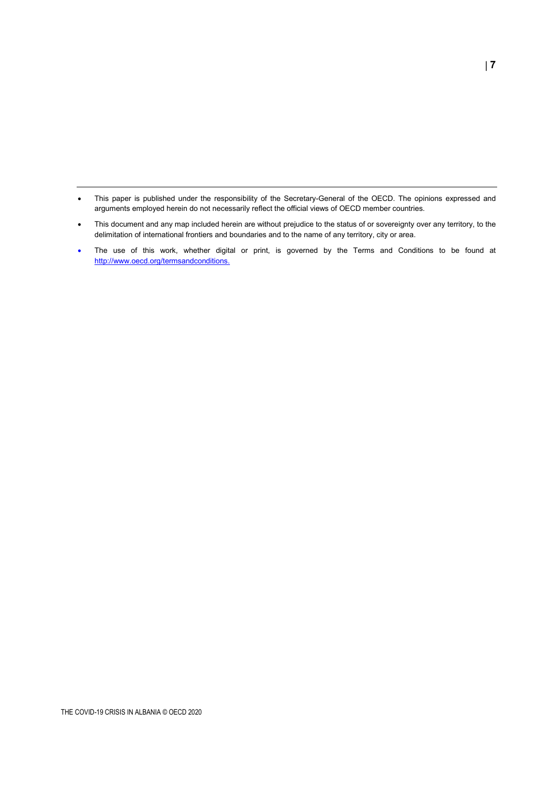- This paper is published under the responsibility of the Secretary-General of the OECD. The opinions expressed and arguments employed herein do not necessarily reflect the official views of OECD member countries.
- This document and any map included herein are without prejudice to the status of or sovereignty over any territory, to the delimitation of international frontiers and boundaries and to the name of any territory, city or area.
- The use of this work, whether digital or print, is governed by the Terms and Conditions to be found at [http://www.oecd.org/termsandconditions.](http://www.oecd.org/termsandconditions)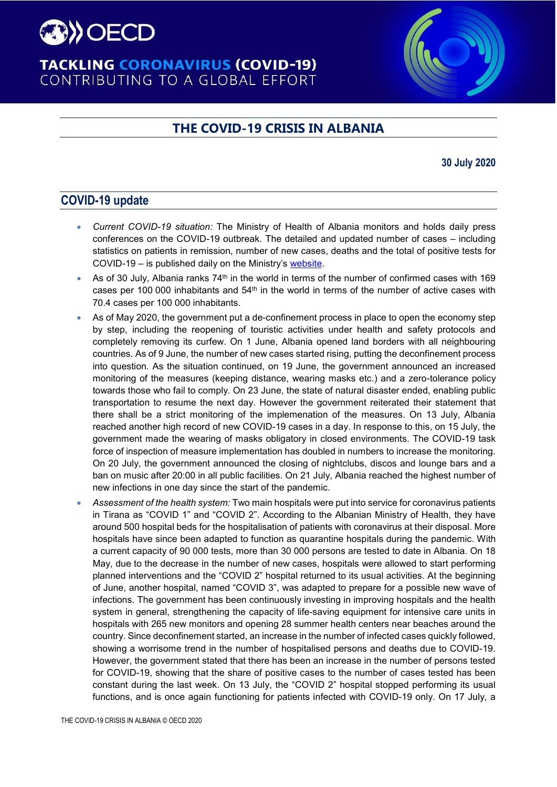

# **TACKLING CORONAVIRUS (COVID-19)** CONTRIBUTING TO A GLOBAL EFFORT

# **THE COVID-19 CRISIS IN ALBANIA**

#### **30 July 2020**

# **COVID-19 update**

- *Current COVID-19 situation:* The Ministry of Health of Albania monitors and holds daily press conferences on the COVID-19 outbreak. The detailed and updated number of cases – including statistics on patients in remission, number of new cases, deaths and the total of positive tests for COVID-19 – is published daily on the Ministry's [website.](https://shendetesia.gov.al/koronavirusi-i-ri-dhe-masat-ndaj-tij/)
- As of 30 July, Albania ranks  $74<sup>th</sup>$  in the world in terms of the number of confirmed cases with 169 cases per 100 000 inhabitants and  $54<sup>th</sup>$  in the world in terms of the number of active cases with 70.4 cases per 100 000 inhabitants.
- As of May 2020, the government put a de-confinement process in place to open the economy step by step, including the reopening of touristic activities under health and safety protocols and completely removing its curfew. On 1 June, Albania opened land borders with all neighbouring countries. As of 9 June, the number of new cases started rising, putting the deconfinement process into question. As the situation continued, on 19 June, the government announced an increased monitoring of the measures (keeping distance, wearing masks etc.) and a zero-tolerance policy towards those who fail to comply. On 23 June, the state of natural disaster ended, enabling public transportation to resume the next day. However the government reiterated their statement that there shall be a strict monitoring of the implemenation of the measures. On 13 July, Albania reached another high record of new COVID-19 cases in a day. In response to this, on 15 July, the government made the wearing of masks obligatory in closed environments. The COVID-19 task force of inspection of measure implementation has doubled in numbers to increase the monitoring. On 20 July, the government announced the closing of nightclubs, discos and lounge bars and a ban on music after 20:00 in all public facilities. On 21 July, Albania reached the highest number of new infections in one day since the start of the pandemic.
- *Assessment of the health system:* Two main hospitals were put into service for coronavirus patients in Tirana as "COVID 1" and "COVID 2". According to the Albanian Ministry of Health, they have around 500 hospital beds for the hospitalisation of patients with coronavirus at their disposal. More hospitals have since been adapted to function as quarantine hospitals during the pandemic. With a current capacity of 90 000 tests, more than 30 000 persons are tested to date in Albania. On 18 May, due to the decrease in the number of new cases, hospitals were allowed to start performing planned interventions and the "COVID 2" hospital returned to its usual activities. At the beginning of June, another hospital, named "COVID 3", was adapted to prepare for a possible new wave of infections. The government has been continuously investing in improving hospitals and the health system in general, strengthening the capacity of life-saving equipment for intensive care units in hospitals with 265 new monitors and opening 28 summer health centers near beaches around the country. Since deconfinement started, an increase in the number of infected cases quickly followed, showing a worrisome trend in the number of hospitalised persons and deaths due to COVID-19. However, the government stated that there has been an increase in the number of persons tested for COVID-19, showing that the share of positive cases to the number of cases tested has been constant during the last week. On 13 July, the "COVID 2" hospital stopped performing its usual functions, and is once again functioning for patients infected with COVID-19 only. On 17 July, a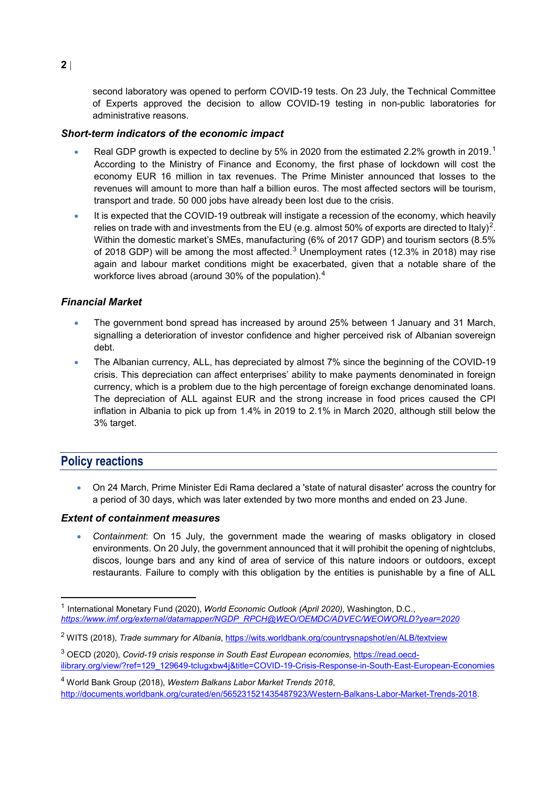second laboratory was opened to perform COVID-19 tests. On 23 July, the Technical Committee of Experts approved the decision to allow COVID-19 testing in non-public laboratories for administrative reasons.

#### *Short-term indicators of the economic impact*

- Real GDP growth is expected to decline by 5% in 2020 from the estimated 2.2% growth in 20[1](#page-20-0)9.<sup>1</sup> According to the Ministry of Finance and Economy, the first phase of lockdown will cost the economy EUR 16 million in tax revenues. The Prime Minister announced that losses to the revenues will amount to more than half a billion euros. The most affected sectors will be tourism, transport and trade. 50 000 jobs have already been lost due to the crisis.
- It is expected that the COVID-19 outbreak will instigate a recession of the economy, which heavily relies on trade with and investments from the EU (e.g. almost 50% of exports are directed to Italy)<sup>[2](#page-20-1)</sup>. Within the domestic market's SMEs, manufacturing (6% of 2017 GDP) and tourism sectors (8.5% of 2018 GDP) will be among the most affected.<sup>[3](#page-20-2)</sup> Unemployment rates (12.3% in 2018) may rise again and labour market conditions might be exacerbated, given that a notable share of the workforce lives abroad (around 30% of the population).[4](#page-20-3)

#### *Financial Market*

- The government bond spread has increased by around 25% between 1 January and 31 March, signalling a deterioration of investor confidence and higher perceived risk of Albanian sovereign debt.
- The Albanian currency, ALL, has depreciated by almost 7% since the beginning of the COVID-19 crisis. This depreciation can affect enterprises' ability to make payments denominated in foreign currency, which is a problem due to the high percentage of foreign exchange denominated loans. The depreciation of ALL against EUR and the strong increase in food prices caused the CPI inflation in Albania to pick up from 1.4% in 2019 to 2.1% in March 2020, although still below the 3% target.

## **Policy reactions**

• On 24 March, Prime Minister Edi Rama declared a 'state of natural disaster' across the country for a period of 30 days, which was later extended by two more months and ended on 23 June.

#### *Extent of containment measures*

• *Containment*: On 15 July, the government made the wearing of masks obligatory in closed environments. On 20 July, the government announced that it will prohibit the opening of nightclubs, discos, lounge bars and any kind of area of service of this nature indoors or outdoors, except restaurants. Failure to comply with this obligation by the entities is punishable by a fine of ALL

<span id="page-20-0"></span> <sup>1</sup> International Monetary Fund (2020), *World Economic Outlook (April 2020),* Washington, D.C., *[https://www.imf.org/external/datamapper/NGDP\\_RPCH@WEO/OEMDC/ADVEC/WEOWORLD?year=2020](https://www.imf.org/external/datamapper/NGDP_RPCH@WEO/OEMDC/ADVEC/WEOWORLD?year=2020)*

<span id="page-20-1"></span><sup>2</sup> WITS (2018), *Trade summary for Albania*,<https://wits.worldbank.org/countrysnapshot/en/ALB/textview>

<span id="page-20-2"></span><sup>3</sup> OECD (2020), *Covid-19 crisis response in South East European economies,* [https://read.oecd](https://read.oecd-ilibrary.org/view/?ref=129_129649-tclugxbw4j&title=COVID-19-Crisis-Response-in-South-East-European-Economies)[ilibrary.org/view/?ref=129\\_129649-tclugxbw4j&title=COVID-19-Crisis-Response-in-South-East-European-Economies](https://read.oecd-ilibrary.org/view/?ref=129_129649-tclugxbw4j&title=COVID-19-Crisis-Response-in-South-East-European-Economies)

<span id="page-20-3"></span><sup>4</sup> World Bank Group (2018), *Western Balkans Labor Market Trends 2018*, http://documents.worldbank.org/curated/en/565231521435487923/Western-Balkans-Labor-Market-Trends-2018.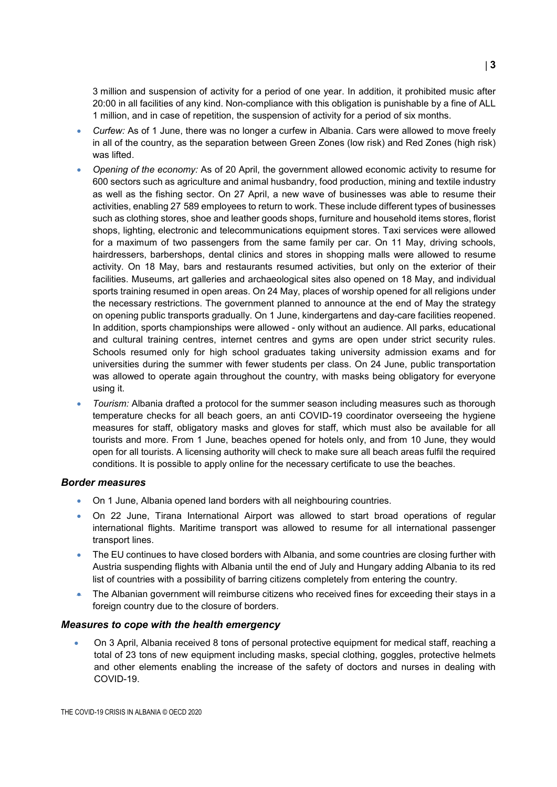3 million and suspension of activity for a period of one year. In addition, it prohibited music after 20:00 in all facilities of any kind. Non-compliance with this obligation is punishable by a fine of ALL 1 million, and in case of repetition, the suspension of activity for a period of six months.

- *Curfew:* As of 1 June, there was no longer a curfew in Albania. Cars were allowed to move freely in all of the country, as the separation between Green Zones (low risk) and Red Zones (high risk) was lifted.
- *Opening of the economy:* As of 20 April, the government allowed economic activity to resume for 600 sectors such as agriculture and animal husbandry, food production, mining and textile industry as well as the fishing sector. On 27 April, a new wave of businesses was able to resume their activities, enabling 27 589 employees to return to work. These include different types of businesses such as clothing stores, shoe and leather goods shops, furniture and household items stores, florist shops, lighting, electronic and telecommunications equipment stores. Taxi services were allowed for a maximum of two passengers from the same family per car. On 11 May, driving schools, hairdressers, barbershops, dental clinics and stores in shopping malls were allowed to resume activity. On 18 May, bars and restaurants resumed activities, but only on the exterior of their facilities. Museums, art galleries and archaeological sites also opened on 18 May, and individual sports training resumed in open areas. On 24 May, places of worship opened for all religions under the necessary restrictions. The government planned to announce at the end of May the strategy on opening public transports gradually. On 1 June, kindergartens and day-care facilities reopened. In addition, sports championships were allowed - only without an audience. All parks, educational and cultural training centres, internet centres and gyms are open under strict security rules. Schools resumed only for high school graduates taking university admission exams and for universities during the summer with fewer students per class. On 24 June, public transportation was allowed to operate again throughout the country, with masks being obligatory for everyone using it.
- *Tourism:* Albania drafted a protocol for the summer season including measures such as thorough temperature checks for all beach goers, an anti COVID-19 coordinator overseeing the hygiene measures for staff, obligatory masks and gloves for staff, which must also be available for all tourists and more. From 1 June, beaches opened for hotels only, and from 10 June, they would open for all tourists. A licensing authority will check to make sure all beach areas fulfil the required conditions. It is possible to apply online for the necessary certificate to use the beaches.

#### *Border measures*

- On 1 June, Albania opened land borders with all neighbouring countries.
- On 22 June, Tirana International Airport was allowed to start broad operations of regular international flights. Maritime transport was allowed to resume for all international passenger transport lines.
- The EU continues to have closed borders with Albania, and some countries are closing further with Austria suspending flights with Albania until the end of July and Hungary adding Albania to its red list of countries with a possibility of barring citizens completely from entering the country.
- The Albanian government will reimburse citizens who received fines for exceeding their stays in a foreign country due to the closure of borders.

#### *Measures to cope with the health emergency*

• On 3 April, Albania received 8 tons of personal protective equipment for medical staff, reaching a total of 23 tons of new equipment including masks, special clothing, goggles, protective helmets and other elements enabling the increase of the safety of doctors and nurses in dealing with COVID-19.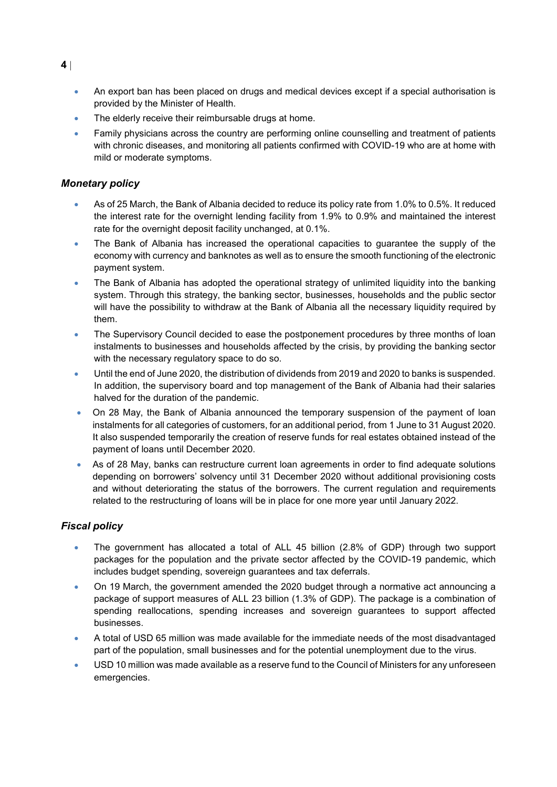- An export ban has been placed on drugs and medical devices except if a special authorisation is provided by the Minister of Health.
- The elderly receive their reimbursable drugs at home.
- Family physicians across the country are performing online counselling and treatment of patients with chronic diseases, and monitoring all patients confirmed with COVID-19 who are at home with mild or moderate symptoms.

### *Monetary policy*

- As of 25 March, the Bank of Albania decided to reduce its policy rate from 1.0% to 0.5%. It reduced the interest rate for the overnight lending facility from 1.9% to 0.9% and maintained the interest rate for the overnight deposit facility unchanged, at 0.1%.
- The Bank of Albania has increased the operational capacities to guarantee the supply of the economy with currency and banknotes as well as to ensure the smooth functioning of the electronic payment system.
- The Bank of Albania has adopted the operational strategy of unlimited liquidity into the banking system. Through this strategy, the banking sector, businesses, households and the public sector will have the possibility to withdraw at the Bank of Albania all the necessary liquidity required by them.
- The Supervisory Council decided to ease the postponement procedures by three months of loan instalments to businesses and households affected by the crisis, by providing the banking sector with the necessary regulatory space to do so.
- Until the end of June 2020, the distribution of dividends from 2019 and 2020 to banks is suspended. In addition, the supervisory board and top management of the Bank of Albania had their salaries halved for the duration of the pandemic.
- On 28 May, the Bank of Albania announced the temporary suspension of the payment of loan instalments for all categories of customers, for an additional period, from 1 June to 31 August 2020. It also suspended temporarily the creation of reserve funds for real estates obtained instead of the payment of loans until December 2020.
- As of 28 May, banks can restructure current loan agreements in order to find adequate solutions depending on borrowers' solvency until 31 December 2020 without additional provisioning costs and without deteriorating the status of the borrowers. The current regulation and requirements related to the restructuring of loans will be in place for one more year until January 2022.

## *Fiscal policy*

- The government has allocated a total of ALL 45 billion (2.8% of GDP) through two support packages for the population and the private sector affected by the COVID-19 pandemic, which includes budget spending, sovereign guarantees and tax deferrals.
- On 19 March, the government amended the 2020 budget through a [normative act](https://financa.gov.al/wp-content/uploads/2020/03/Akti-Normativ.pdf) announcing a package of support measures of ALL 23 billion (1.3% of GDP). The package is a combination of spending reallocations, spending increases and sovereign guarantees to support affected businesses.
- A total of USD 65 million was made available for the immediate needs of the most disadvantaged part of the population, small businesses and for the potential unemployment due to the virus.
- USD 10 million was made available as a reserve fund to the Council of Ministers for any unforeseen emergencies.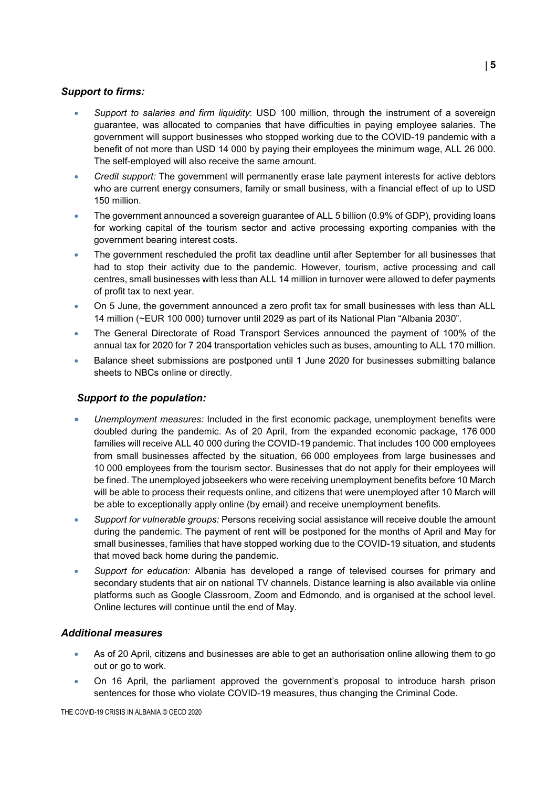#### *Support to firms:*

- *Support to salaries and firm liquidity*: USD 100 million, through the instrument of a sovereign guarantee, was allocated to companies that have difficulties in paying employee salaries. The government will support businesses who stopped working due to the COVID-19 pandemic with a benefit of not more than USD 14 000 by paying their employees the minimum wage, ALL 26 000. The self-employed will also receive the same amount.
- *Credit support:* The government will permanently erase late payment interests for active debtors who are current energy consumers, family or small business, with a financial effect of up to USD 150 million.
- The government announced a sovereign guarantee of ALL 5 billion (0.9% of GDP), providing loans for working capital of the tourism sector and active processing exporting companies with the government bearing interest costs.
- The government rescheduled the profit tax deadline until after September for all businesses that had to stop their activity due to the pandemic. However, tourism, active processing and call centres, small businesses with less than ALL 14 million in turnover were allowed to defer payments of profit tax to next year.
- On 5 June, the government announced a zero profit tax for small businesses with less than ALL 14 million (~EUR 100 000) turnover until 2029 as part of its National Plan "Albania 2030".
- The General Directorate of Road Transport Services announced the payment of 100% of the annual tax for 2020 for 7 204 transportation vehicles such as buses, amounting to ALL 170 million.
- Balance sheet submissions are postponed until 1 June 2020 for businesses submitting balance sheets to NBCs online or directly.

#### *Support to the population:*

- *Unemployment measures:* Included in the first economic package, unemployment benefits were doubled during the pandemic. As of 20 April, from the expanded economic package, 176 000 families will receive ALL 40 000 during the COVID-19 pandemic. That includes 100 000 employees from small businesses affected by the situation, 66 000 employees from large businesses and 10 000 employees from the tourism sector. Businesses that do not apply for their employees will be fined. The unemployed jobseekers who were receiving unemployment benefits before 10 March will be able to process their requests online, and citizens that were unemployed after 10 March will be able to exceptionally apply online (by email) and receive unemployment benefits.
- *Support for vulnerable groups:* Persons receiving social assistance will receive double the amount during the pandemic. The payment of rent will be postponed for the months of April and May for small businesses, families that have stopped working due to the COVID-19 situation, and students that moved back home during the pandemic.
- *Support for education:* Albania has developed a range of televised courses for primary and secondary students that air on national TV channels. Distance learning is also available via online platforms such as Google Classroom, Zoom and Edmondo, and is organised at the school level. Online lectures will continue until the end of May.

#### *Additional measures*

- As of 20 April, citizens and businesses are able to get an authorisation online allowing them to go out or go to work.
- On 16 April, the parliament approved the government's proposal to introduce harsh prison sentences for those who violate COVID-19 measures, thus changing the Criminal Code.

THE COVID-19 CRISIS IN ALBANIA © OECD 2020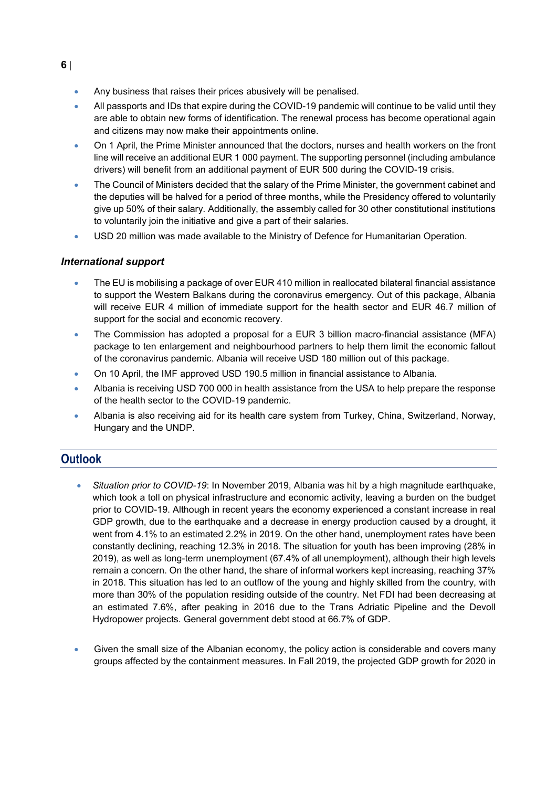- Any business that raises their prices abusively will be penalised.
- All passports and IDs that expire during the COVID-19 pandemic will continue to be valid until they are able to obtain new forms of identification. The renewal process has become operational again and citizens may now make their appointments online.
- On 1 April, the Prime Minister announced that the doctors, nurses and health workers on the front line will receive an additional EUR 1 000 payment. The supporting personnel (including ambulance drivers) will benefit from an additional payment of EUR 500 during the COVID-19 crisis.
- The Council of Ministers decided that the salary of the Prime Minister, the government cabinet and the deputies will be halved for a period of three months, while the Presidency offered to voluntarily give up 50% of their salary. Additionally, the assembly called for 30 other constitutional institutions to voluntarily join the initiative and give a part of their salaries.
- USD 20 million was made available to the Ministry of Defence for Humanitarian Operation.

#### *International support*

- The EU is mobilising a package of over EUR 410 million in reallocated bilateral financial assistance to support the Western Balkans during the coronavirus emergency. Out of this package, Albania will receive EUR 4 million of immediate support for the health sector and EUR 46.7 million of support for the social and economic recovery.
- The Commission has adopted a proposal for a EUR 3 billion macro-financial assistance (MFA) package to ten enlargement and neighbourhood partners to help them limit the economic fallout of the coronavirus pandemic. Albania will receive USD 180 million out of this package.
- On 10 April, the IMF approved USD 190.5 million in financial assistance to Albania.
- Albania is receiving USD 700 000 in health assistance from the USA to help prepare the response of the health sector to the COVID-19 pandemic.
- Albania is also receiving aid for its health care system from Turkey, China, Switzerland, Norway, Hungary and the UNDP.

# **Outlook**

- *Situation prior to COVID-19*: In November 2019, Albania was hit by a high magnitude earthquake, which took a toll on physical infrastructure and economic activity, leaving a burden on the budget prior to COVID-19. Although in recent years the economy experienced a constant increase in real GDP growth, due to the earthquake and a decrease in energy production caused by a drought, it went from 4.1% to an estimated 2.2% in 2019. On the other hand, unemployment rates have been constantly declining, reaching 12.3% in 2018. The situation for youth has been improving (28% in 2019), as well as long-term unemployment (67.4% of all unemployment), although their high levels remain a concern. On the other hand, the share of informal workers kept increasing, reaching 37% in 2018. This situation has led to an outflow of the young and highly skilled from the country, with more than 30% of the population residing outside of the country. Net FDI had been decreasing at an estimated 7.6%, after peaking in 2016 due to the Trans Adriatic Pipeline and the Devoll Hydropower projects. General government debt stood at 66.7% of GDP.
- Given the small size of the Albanian economy, the policy action is considerable and covers many groups affected by the containment measures. In Fall 2019, the projected GDP growth for 2020 in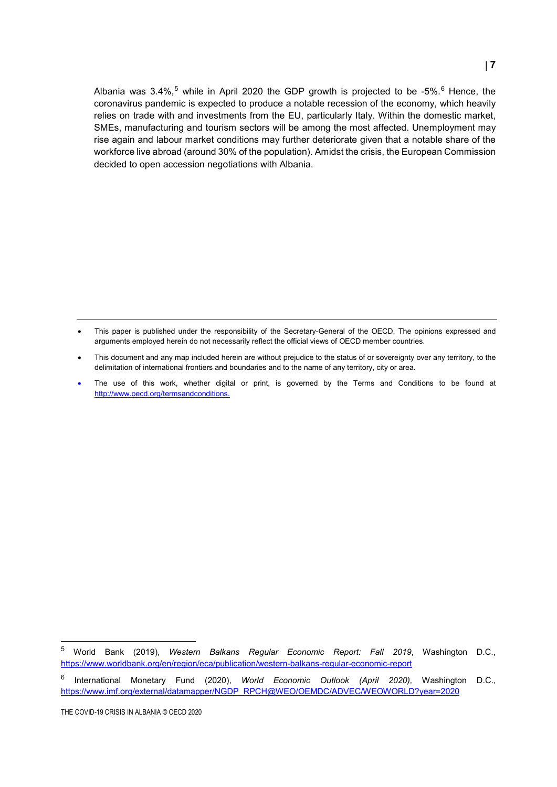Albania was 3.4%,<sup>[5](#page-25-0)</sup> while in April 2020 the GDP growth is projected to be -5%.<sup>[6](#page-25-1)</sup> Hence, the coronavirus pandemic is expected to produce a notable recession of the economy, which heavily relies on trade with and investments from the EU, particularly Italy. Within the domestic market, SMEs, manufacturing and tourism sectors will be among the most affected. Unemployment may rise again and labour market conditions may further deteriorate given that a notable share of the workforce live abroad (around 30% of the population). Amidst the crisis, the European Commission decided to open accession negotiations with Albania.

- This paper is published under the responsibility of the Secretary-General of the OECD. The opinions expressed and arguments employed herein do not necessarily reflect the official views of OECD member countries.
- This document and any map included herein are without prejudice to the status of or sovereignty over any territory, to the delimitation of international frontiers and boundaries and to the name of any territory, city or area.
- The use of this work, whether digital or print, is governed by the Terms and Conditions to be found at [http://www.oecd.org/termsandconditions.](http://www.oecd.org/termsandconditions)

<span id="page-25-0"></span> <sup>5</sup> World Bank (2019), *Western Balkans Regular Economic Report: Fall 2019*, Washington D.C., <https://www.worldbank.org/en/region/eca/publication/western-balkans-regular-economic-report>

<span id="page-25-1"></span><sup>6</sup> International Monetary Fund (2020), *World Economic Outlook (April 2020),* Washington D.C., [https://www.imf.org/external/datamapper/NGDP\\_RPCH@WEO/OEMDC/ADVEC/WEOWORLD?year=2020](https://www.imf.org/external/datamapper/NGDP_RPCH@WEO/OEMDC/ADVEC/WEOWORLD?year=2020)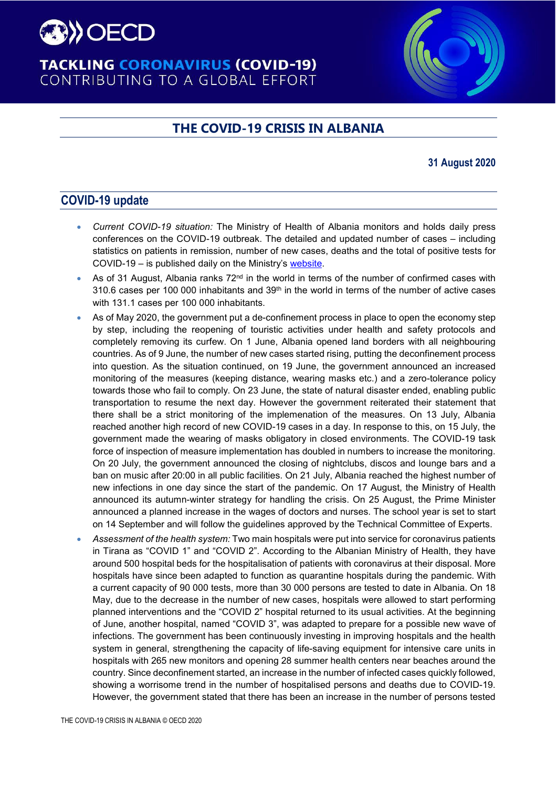

# **TACKLING CORONAVIRUS (COVID-19)** CONTRIBUTING TO A GLOBAL EFFORT

# **THE COVID-19 CRISIS IN ALBANIA**

### **31 August 2020**

# **COVID-19 update**

- *Current COVID-19 situation:* The Ministry of Health of Albania monitors and holds daily press conferences on the COVID-19 outbreak. The detailed and updated number of cases – including statistics on patients in remission, number of new cases, deaths and the total of positive tests for COVID-19 – is published daily on the Ministry's [website.](https://shendetesia.gov.al/koronavirusi-i-ri-dhe-masat-ndaj-tij/)
- As of 31 August, Albania ranks 72<sup>nd</sup> in the world in terms of the number of confirmed cases with 310.6 cases per 100 000 inhabitants and 39<sup>th</sup> in the world in terms of the number of active cases with 131.1 cases per 100 000 inhabitants.
- As of May 2020, the government put a de-confinement process in place to open the economy step by step, including the reopening of touristic activities under health and safety protocols and completely removing its curfew. On 1 June, Albania opened land borders with all neighbouring countries. As of 9 June, the number of new cases started rising, putting the deconfinement process into question. As the situation continued, on 19 June, the government announced an increased monitoring of the measures (keeping distance, wearing masks etc.) and a zero-tolerance policy towards those who fail to comply. On 23 June, the state of natural disaster ended, enabling public transportation to resume the next day. However the government reiterated their statement that there shall be a strict monitoring of the implemenation of the measures. On 13 July, Albania reached another high record of new COVID-19 cases in a day. In response to this, on 15 July, the government made the wearing of masks obligatory in closed environments. The COVID-19 task force of inspection of measure implementation has doubled in numbers to increase the monitoring. On 20 July, the government announced the closing of nightclubs, discos and lounge bars and a ban on music after 20:00 in all public facilities. On 21 July, Albania reached the highest number of new infections in one day since the start of the pandemic. On 17 August, the Ministry of Health announced its autumn-winter strategy for handling the crisis. On 25 August, the Prime Minister announced a planned increase in the wages of doctors and nurses. The school year is set to start on 14 September and will follow the guidelines approved by the Technical Committee of Experts.
- *Assessment of the health system:* Two main hospitals were put into service for coronavirus patients in Tirana as "COVID 1" and "COVID 2". According to the Albanian Ministry of Health, they have around 500 hospital beds for the hospitalisation of patients with coronavirus at their disposal. More hospitals have since been adapted to function as quarantine hospitals during the pandemic. With a current capacity of 90 000 tests, more than 30 000 persons are tested to date in Albania. On 18 May, due to the decrease in the number of new cases, hospitals were allowed to start performing planned interventions and the "COVID 2" hospital returned to its usual activities. At the beginning of June, another hospital, named "COVID 3", was adapted to prepare for a possible new wave of infections. The government has been continuously investing in improving hospitals and the health system in general, strengthening the capacity of life-saving equipment for intensive care units in hospitals with 265 new monitors and opening 28 summer health centers near beaches around the country. Since deconfinement started, an increase in the number of infected cases quickly followed, showing a worrisome trend in the number of hospitalised persons and deaths due to COVID-19. However, the government stated that there has been an increase in the number of persons tested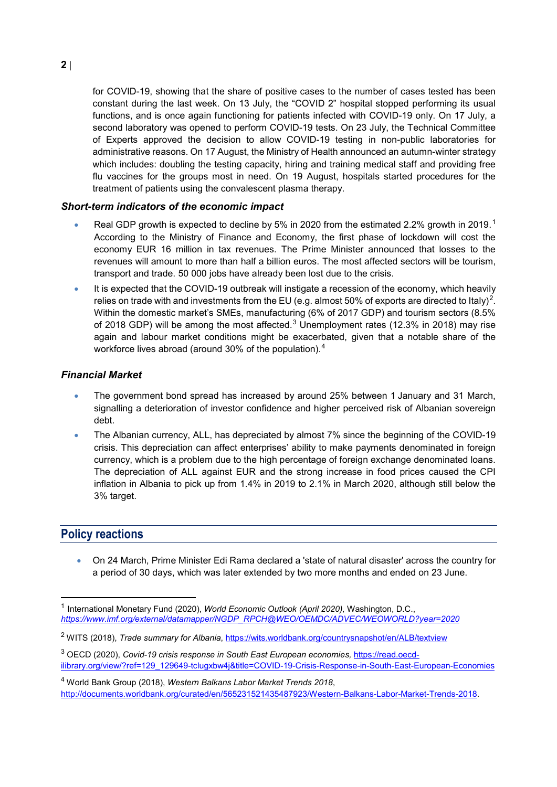for COVID-19, showing that the share of positive cases to the number of cases tested has been constant during the last week. On 13 July, the "COVID 2" hospital stopped performing its usual functions, and is once again functioning for patients infected with COVID-19 only. On 17 July, a second laboratory was opened to perform COVID-19 tests. On 23 July, the Technical Committee of Experts approved the decision to allow COVID-19 testing in non-public laboratories for administrative reasons. On 17 August, the Ministry of Health announced an autumn-winter strategy which includes: doubling the testing capacity, hiring and training medical staff and providing free flu vaccines for the groups most in need. On 19 August, hospitals started procedures for the treatment of patients using the convalescent plasma therapy.

#### *Short-term indicators of the economic impact*

- Real GDP growth is expected to decline by 5% in 2020 from the estimated 2.2% growth in 20[1](#page-27-0)9.<sup>1</sup> According to the Ministry of Finance and Economy, the first phase of lockdown will cost the economy EUR 16 million in tax revenues. The Prime Minister announced that losses to the revenues will amount to more than half a billion euros. The most affected sectors will be tourism, transport and trade. 50 000 jobs have already been lost due to the crisis.
- It is expected that the COVID-19 outbreak will instigate a recession of the economy, which heavily relies on trade with and investments from the EU (e.g. almost 50% of exports are directed to Italy)<sup>[2](#page-27-1)</sup>. Within the domestic market's SMEs, manufacturing (6% of 2017 GDP) and tourism sectors (8.5% of 2018 GDP) will be among the most affected.<sup>[3](#page-27-2)</sup> Unemployment rates (12.3% in 2018) may rise again and labour market conditions might be exacerbated, given that a notable share of the workforce lives abroad (around 30% of the population).[4](#page-27-3)

#### *Financial Market*

- The government bond spread has increased by around 25% between 1 January and 31 March, signalling a deterioration of investor confidence and higher perceived risk of Albanian sovereign debt.
- The Albanian currency, ALL, has depreciated by almost 7% since the beginning of the COVID-19 crisis. This depreciation can affect enterprises' ability to make payments denominated in foreign currency, which is a problem due to the high percentage of foreign exchange denominated loans. The depreciation of ALL against EUR and the strong increase in food prices caused the CPI inflation in Albania to pick up from 1.4% in 2019 to 2.1% in March 2020, although still below the 3% target.

## **Policy reactions**

• On 24 March, Prime Minister Edi Rama declared a 'state of natural disaster' across the country for a period of 30 days, which was later extended by two more months and ended on 23 June.

<span id="page-27-0"></span> <sup>1</sup> International Monetary Fund (2020), *World Economic Outlook (April 2020),* Washington, D.C., *[https://www.imf.org/external/datamapper/NGDP\\_RPCH@WEO/OEMDC/ADVEC/WEOWORLD?year=2020](https://www.imf.org/external/datamapper/NGDP_RPCH@WEO/OEMDC/ADVEC/WEOWORLD?year=2020)*

<span id="page-27-1"></span><sup>2</sup> WITS (2018), *Trade summary for Albania*,<https://wits.worldbank.org/countrysnapshot/en/ALB/textview>

<span id="page-27-2"></span><sup>3</sup> OECD (2020), *Covid-19 crisis response in South East European economies,* [https://read.oecd](https://read.oecd-ilibrary.org/view/?ref=129_129649-tclugxbw4j&title=COVID-19-Crisis-Response-in-South-East-European-Economies)[ilibrary.org/view/?ref=129\\_129649-tclugxbw4j&title=COVID-19-Crisis-Response-in-South-East-European-Economies](https://read.oecd-ilibrary.org/view/?ref=129_129649-tclugxbw4j&title=COVID-19-Crisis-Response-in-South-East-European-Economies)

<span id="page-27-3"></span><sup>4</sup> World Bank Group (2018), *Western Balkans Labor Market Trends 2018*, http://documents.worldbank.org/curated/en/565231521435487923/Western-Balkans-Labor-Market-Trends-2018.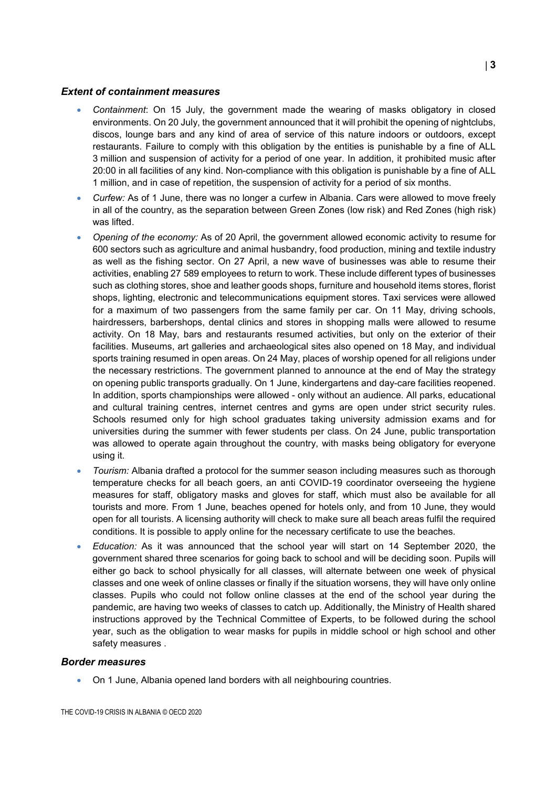#### *Extent of containment measures*

- *Containment*: On 15 July, the government made the wearing of masks obligatory in closed environments. On 20 July, the government announced that it will prohibit the opening of nightclubs, discos, lounge bars and any kind of area of service of this nature indoors or outdoors, except restaurants. Failure to comply with this obligation by the entities is punishable by a fine of ALL 3 million and suspension of activity for a period of one year. In addition, it prohibited music after 20:00 in all facilities of any kind. Non-compliance with this obligation is punishable by a fine of ALL 1 million, and in case of repetition, the suspension of activity for a period of six months.
- *Curfew:* As of 1 June, there was no longer a curfew in Albania. Cars were allowed to move freely in all of the country, as the separation between Green Zones (low risk) and Red Zones (high risk) was lifted.
- *Opening of the economy:* As of 20 April, the government allowed economic activity to resume for 600 sectors such as agriculture and animal husbandry, food production, mining and textile industry as well as the fishing sector. On 27 April, a new wave of businesses was able to resume their activities, enabling 27 589 employees to return to work. These include different types of businesses such as clothing stores, shoe and leather goods shops, furniture and household items stores, florist shops, lighting, electronic and telecommunications equipment stores. Taxi services were allowed for a maximum of two passengers from the same family per car. On 11 May, driving schools, hairdressers, barbershops, dental clinics and stores in shopping malls were allowed to resume activity. On 18 May, bars and restaurants resumed activities, but only on the exterior of their facilities. Museums, art galleries and archaeological sites also opened on 18 May, and individual sports training resumed in open areas. On 24 May, places of worship opened for all religions under the necessary restrictions. The government planned to announce at the end of May the strategy on opening public transports gradually. On 1 June, kindergartens and day-care facilities reopened. In addition, sports championships were allowed - only without an audience. All parks, educational and cultural training centres, internet centres and gyms are open under strict security rules. Schools resumed only for high school graduates taking university admission exams and for universities during the summer with fewer students per class. On 24 June, public transportation was allowed to operate again throughout the country, with masks being obligatory for everyone using it.
- *Tourism:* Albania drafted a protocol for the summer season including measures such as thorough temperature checks for all beach goers, an anti COVID-19 coordinator overseeing the hygiene measures for staff, obligatory masks and gloves for staff, which must also be available for all tourists and more. From 1 June, beaches opened for hotels only, and from 10 June, they would open for all tourists. A licensing authority will check to make sure all beach areas fulfil the required conditions. It is possible to apply online for the necessary certificate to use the beaches.
- *Education:* As it was announced that the school year will start on 14 September 2020, the government shared three scenarios for going back to school and will be deciding soon. Pupils will either go back to school physically for all classes, will alternate between one week of physical classes and one week of online classes or finally if the situation worsens, they will have only online classes. Pupils who could not follow online classes at the end of the school year during the pandemic, are having two weeks of classes to catch up. Additionally, the Ministry of Health shared instructions approved by the Technical Committee of Experts, to be followed during the school year, such as the obligation to wear masks for pupils in middle school or high school and other safety measures .

#### *Border measures*

• On 1 June, Albania opened land borders with all neighbouring countries.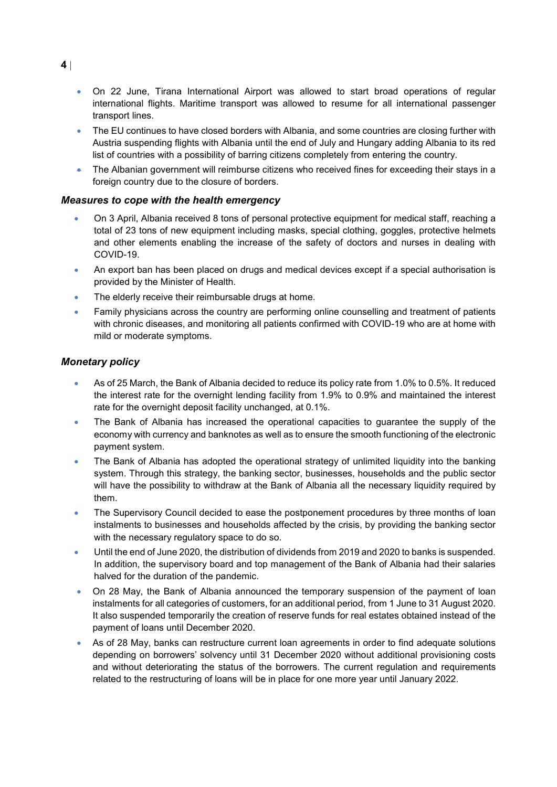- On 22 June, Tirana International Airport was allowed to start broad operations of regular international flights. Maritime transport was allowed to resume for all international passenger transport lines.
- The EU continues to have closed borders with Albania, and some countries are closing further with Austria suspending flights with Albania until the end of July and Hungary adding Albania to its red list of countries with a possibility of barring citizens completely from entering the country.
- The Albanian government will reimburse citizens who received fines for exceeding their stays in a foreign country due to the closure of borders.

#### *Measures to cope with the health emergency*

- On 3 April, Albania received 8 tons of personal protective equipment for medical staff, reaching a total of 23 tons of new equipment including masks, special clothing, goggles, protective helmets and other elements enabling the increase of the safety of doctors and nurses in dealing with COVID-19.
- An export ban has been placed on drugs and medical devices except if a special authorisation is provided by the Minister of Health.
- The elderly receive their reimbursable drugs at home.
- Family physicians across the country are performing online counselling and treatment of patients with chronic diseases, and monitoring all patients confirmed with COVID-19 who are at home with mild or moderate symptoms.

#### *Monetary policy*

- As of 25 March, the Bank of Albania decided to reduce its policy rate from 1.0% to 0.5%. It reduced the interest rate for the overnight lending facility from 1.9% to 0.9% and maintained the interest rate for the overnight deposit facility unchanged, at 0.1%.
- The Bank of Albania has increased the operational capacities to guarantee the supply of the economy with currency and banknotes as well as to ensure the smooth functioning of the electronic payment system.
- The Bank of Albania has adopted the operational strategy of unlimited liquidity into the banking system. Through this strategy, the banking sector, businesses, households and the public sector will have the possibility to withdraw at the Bank of Albania all the necessary liquidity required by them.
- The Supervisory Council decided to ease the postponement procedures by three months of loan instalments to businesses and households affected by the crisis, by providing the banking sector with the necessary regulatory space to do so.
- Until the end of June 2020, the distribution of dividends from 2019 and 2020 to banks is suspended. In addition, the supervisory board and top management of the Bank of Albania had their salaries halved for the duration of the pandemic.
- On 28 May, the Bank of Albania announced the temporary suspension of the payment of loan instalments for all categories of customers, for an additional period, from 1 June to 31 August 2020. It also suspended temporarily the creation of reserve funds for real estates obtained instead of the payment of loans until December 2020.
- As of 28 May, banks can restructure current loan agreements in order to find adequate solutions depending on borrowers' solvency until 31 December 2020 without additional provisioning costs and without deteriorating the status of the borrowers. The current regulation and requirements related to the restructuring of loans will be in place for one more year until January 2022.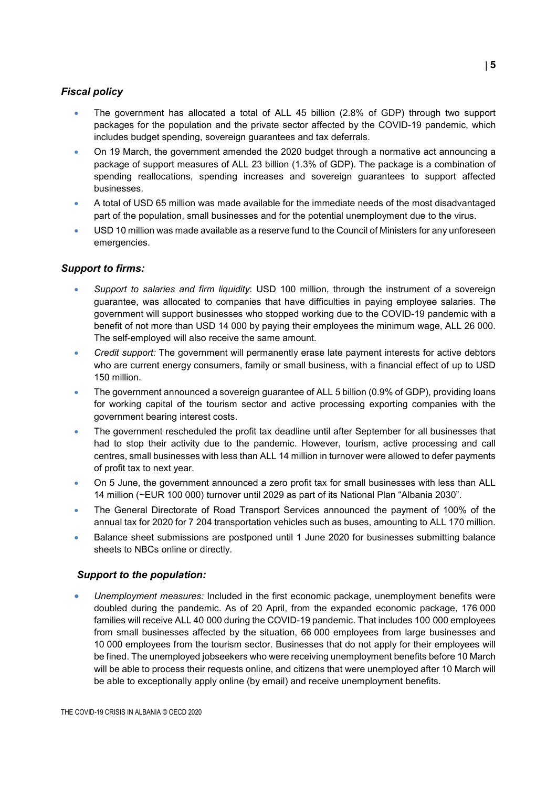### *Fiscal policy*

- The government has allocated a total of ALL 45 billion (2.8% of GDP) through two support packages for the population and the private sector affected by the COVID-19 pandemic, which includes budget spending, sovereign guarantees and tax deferrals.
- On 19 March, the government amended the 2020 budget through a [normative act](https://financa.gov.al/wp-content/uploads/2020/03/Akti-Normativ.pdf) announcing a package of support measures of ALL 23 billion (1.3% of GDP). The package is a combination of spending reallocations, spending increases and sovereign guarantees to support affected businesses.
- A total of USD 65 million was made available for the immediate needs of the most disadvantaged part of the population, small businesses and for the potential unemployment due to the virus.
- USD 10 million was made available as a reserve fund to the Council of Ministers for any unforeseen emergencies.

#### *Support to firms:*

- *Support to salaries and firm liquidity*: USD 100 million, through the instrument of a sovereign guarantee, was allocated to companies that have difficulties in paying employee salaries. The government will support businesses who stopped working due to the COVID-19 pandemic with a benefit of not more than USD 14 000 by paying their employees the minimum wage, ALL 26 000. The self-employed will also receive the same amount.
- *Credit support:* The government will permanently erase late payment interests for active debtors who are current energy consumers, family or small business, with a financial effect of up to USD 150 million.
- The government announced a sovereign guarantee of ALL 5 billion (0.9% of GDP), providing loans for working capital of the tourism sector and active processing exporting companies with the government bearing interest costs.
- The government rescheduled the profit tax deadline until after September for all businesses that had to stop their activity due to the pandemic. However, tourism, active processing and call centres, small businesses with less than ALL 14 million in turnover were allowed to defer payments of profit tax to next year.
- On 5 June, the government announced a zero profit tax for small businesses with less than ALL 14 million (~EUR 100 000) turnover until 2029 as part of its National Plan "Albania 2030".
- The General Directorate of Road Transport Services announced the payment of 100% of the annual tax for 2020 for 7 204 transportation vehicles such as buses, amounting to ALL 170 million.
- Balance sheet submissions are postponed until 1 June 2020 for businesses submitting balance sheets to NBCs online or directly.

#### *Support to the population:*

• *Unemployment measures:* Included in the first economic package, unemployment benefits were doubled during the pandemic. As of 20 April, from the expanded economic package, 176 000 families will receive ALL 40 000 during the COVID-19 pandemic. That includes 100 000 employees from small businesses affected by the situation, 66 000 employees from large businesses and 10 000 employees from the tourism sector. Businesses that do not apply for their employees will be fined. The unemployed jobseekers who were receiving unemployment benefits before 10 March will be able to process their requests online, and citizens that were unemployed after 10 March will be able to exceptionally apply online (by email) and receive unemployment benefits.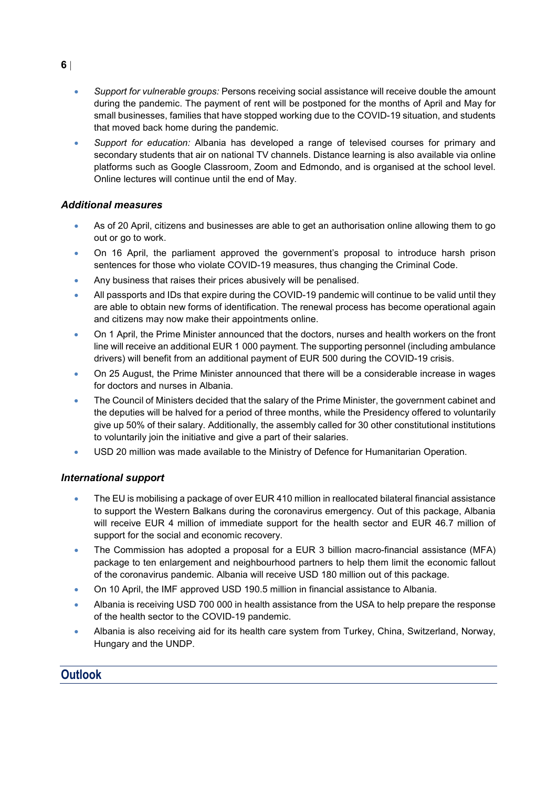- *Support for vulnerable groups:* Persons receiving social assistance will receive double the amount during the pandemic. The payment of rent will be postponed for the months of April and May for small businesses, families that have stopped working due to the COVID-19 situation, and students that moved back home during the pandemic.
- *Support for education:* Albania has developed a range of televised courses for primary and secondary students that air on national TV channels. Distance learning is also available via online platforms such as Google Classroom, Zoom and Edmondo, and is organised at the school level. Online lectures will continue until the end of May.

#### *Additional measures*

- As of 20 April, citizens and businesses are able to get an authorisation online allowing them to go out or go to work.
- On 16 April, the parliament approved the government's proposal to introduce harsh prison sentences for those who violate COVID-19 measures, thus changing the Criminal Code.
- Any business that raises their prices abusively will be penalised.
- All passports and IDs that expire during the COVID-19 pandemic will continue to be valid until they are able to obtain new forms of identification. The renewal process has become operational again and citizens may now make their appointments online.
- On 1 April, the Prime Minister announced that the doctors, nurses and health workers on the front line will receive an additional EUR 1 000 payment. The supporting personnel (including ambulance drivers) will benefit from an additional payment of EUR 500 during the COVID-19 crisis.
- On 25 August, the Prime Minister announced that there will be a considerable increase in wages for doctors and nurses in Albania.
- The Council of Ministers decided that the salary of the Prime Minister, the government cabinet and the deputies will be halved for a period of three months, while the Presidency offered to voluntarily give up 50% of their salary. Additionally, the assembly called for 30 other constitutional institutions to voluntarily join the initiative and give a part of their salaries.
- USD 20 million was made available to the Ministry of Defence for Humanitarian Operation.

## *International support*

- The EU is mobilising a package of over EUR 410 million in reallocated bilateral financial assistance to support the Western Balkans during the coronavirus emergency. Out of this package, Albania will receive EUR 4 million of immediate support for the health sector and EUR 46.7 million of support for the social and economic recovery.
- The Commission has adopted a proposal for a EUR 3 billion macro-financial assistance (MFA) package to ten enlargement and neighbourhood partners to help them limit the economic fallout of the coronavirus pandemic. Albania will receive USD 180 million out of this package.
- On 10 April, the IMF approved USD 190.5 million in financial assistance to Albania.
- Albania is receiving USD 700 000 in health assistance from the USA to help prepare the response of the health sector to the COVID-19 pandemic.
- Albania is also receiving aid for its health care system from Turkey, China, Switzerland, Norway, Hungary and the UNDP.

# **Outlook**